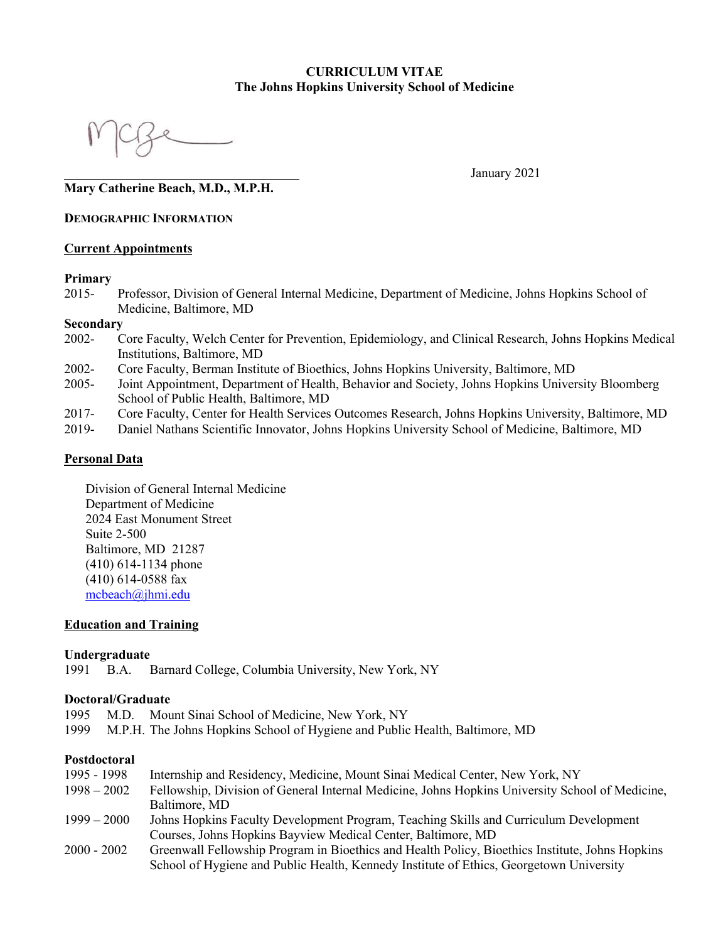#### **CURRICULUM VITAE The Johns Hopkins University School of Medicine**

January 2021

## **Mary Catherine Beach, M.D., M.P.H.**

#### **DEMOGRAPHIC INFORMATION**

#### **Current Appointments**

#### **Primary**

2015- Professor, Division of General Internal Medicine, Department of Medicine, Johns Hopkins School of Medicine, Baltimore, MD

#### **Secondary**

- 2002- Core Faculty, Welch Center for Prevention, Epidemiology, and Clinical Research, Johns Hopkins Medical Institutions, Baltimore, MD
- 2002- Core Faculty, Berman Institute of Bioethics, Johns Hopkins University, Baltimore, MD
- 2005- Joint Appointment, Department of Health, Behavior and Society, Johns Hopkins University Bloomberg School of Public Health, Baltimore, MD
- 2017- Core Faculty, Center for Health Services Outcomes Research, Johns Hopkins University, Baltimore, MD
- 2019- Daniel Nathans Scientific Innovator, Johns Hopkins University School of Medicine, Baltimore, MD

#### **Personal Data**

Division of General Internal Medicine Department of Medicine 2024 East Monument Street Suite 2-500 Baltimore, MD 21287 (410) 614-1134 phone (410) 614-0588 fax mcbeach@jhmi.edu

#### **Education and Training**

#### **Undergraduate**

1991 B.A. Barnard College, Columbia University, New York, NY

#### **Doctoral/Graduate**

- 1995 M.D. Mount Sinai School of Medicine, New York, NY
- 1999 M.P.H. The Johns Hopkins School of Hygiene and Public Health, Baltimore, MD

#### **Postdoctoral**

1995 - 1998 Internship and Residency, Medicine, Mount Sinai Medical Center, New York, NY 1998 – 2002 Fellowship, Division of General Internal Medicine, Johns Hopkins University School of Medicine, Baltimore, MD 1999 – 2000 Johns Hopkins Faculty Development Program, Teaching Skills and Curriculum Development Courses, Johns Hopkins Bayview Medical Center, Baltimore, MD 2000 - 2002 Greenwall Fellowship Program in Bioethics and Health Policy, Bioethics Institute, Johns Hopkins School of Hygiene and Public Health, Kennedy Institute of Ethics, Georgetown University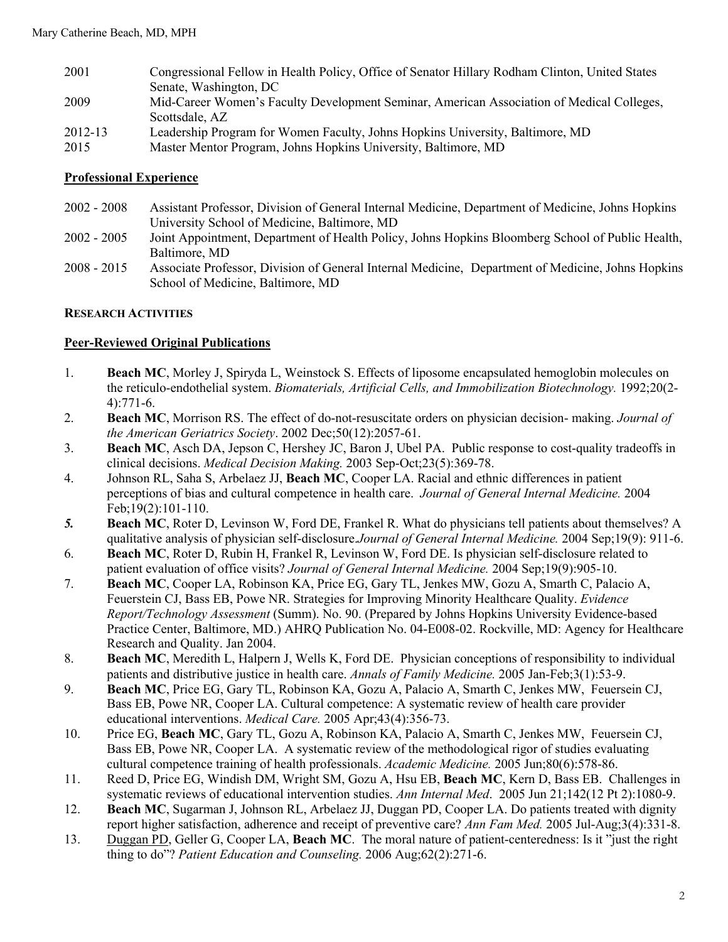| 2001    | Congressional Fellow in Health Policy, Office of Senator Hillary Rodham Clinton, United States |
|---------|------------------------------------------------------------------------------------------------|
|         | Senate, Washington, DC                                                                         |
| 2009    | Mid-Career Women's Faculty Development Seminar, American Association of Medical Colleges,      |
|         | Scottsdale, AZ                                                                                 |
| 2012-13 | Leadership Program for Women Faculty, Johns Hopkins University, Baltimore, MD                  |
| 2015    | Master Mentor Program, Johns Hopkins University, Baltimore, MD                                 |

## **Professional Experience**

- 2002 2008 Assistant Professor, Division of General Internal Medicine, Department of Medicine, Johns Hopkins University School of Medicine, Baltimore, MD
- 2002 2005 Joint Appointment, Department of Health Policy, Johns Hopkins Bloomberg School of Public Health, Baltimore, MD
- 2008 2015 Associate Professor, Division of General Internal Medicine, Department of Medicine, Johns Hopkins School of Medicine, Baltimore, MD

## **RESEARCH ACTIVITIES**

## **Peer-Reviewed Original Publications**

- 1. **Beach MC**, Morley J, Spiryda L, Weinstock S. Effects of liposome encapsulated hemoglobin molecules on the reticulo-endothelial system. *Biomaterials, Artificial Cells, and Immobilization Biotechnology.* 1992;20(2- 4):771-6.
- 2. **Beach MC**, Morrison RS. The effect of do-not-resuscitate orders on physician decision- making. *Journal of the American Geriatrics Society*. 2002 Dec;50(12):2057-61.
- 3. **Beach MC**, Asch DA, Jepson C, Hershey JC, Baron J, Ubel PA. Public response to cost-quality tradeoffs in clinical decisions. *Medical Decision Making.* 2003 Sep-Oct;23(5):369-78.
- 4. Johnson RL, Saha S, Arbelaez JJ, **Beach MC**, Cooper LA. Racial and ethnic differences in patient perceptions of bias and cultural competence in health care. *Journal of General Internal Medicine.* 2004 Feb;19(2):101-110.
- *5.* **Beach MC**, Roter D, Levinson W, Ford DE, Frankel R. What do physicians tell patients about themselves? A qualitative analysis of physician self-disclosure.*Journal of General Internal Medicine.* 2004 Sep;19(9): 911-6.
- 6. **Beach MC**, Roter D, Rubin H, Frankel R, Levinson W, Ford DE. Is physician self-disclosure related to patient evaluation of office visits? *Journal of General Internal Medicine.* 2004 Sep;19(9):905-10.
- 7. **Beach MC**, Cooper LA, Robinson KA, Price EG, Gary TL, Jenkes MW, Gozu A, Smarth C, Palacio A, Feuerstein CJ, Bass EB, Powe NR. Strategies for Improving Minority Healthcare Quality. *Evidence Report/Technology Assessment* (Summ). No. 90. (Prepared by Johns Hopkins University Evidence-based Practice Center, Baltimore, MD.) AHRQ Publication No. 04-E008-02. Rockville, MD: Agency for Healthcare Research and Quality. Jan 2004.
- 8. **Beach MC**, Meredith L, Halpern J, Wells K, Ford DE. Physician conceptions of responsibility to individual patients and distributive justice in health care. *Annals of Family Medicine.* 2005 Jan-Feb;3(1):53-9.
- 9. **Beach MC**, Price EG, Gary TL, Robinson KA, Gozu A, Palacio A, Smarth C, Jenkes MW, Feuersein CJ, Bass EB, Powe NR, Cooper LA. Cultural competence: A systematic review of health care provider educational interventions. *Medical Care.* 2005 Apr;43(4):356-73.
- 10. Price EG, **Beach MC**, Gary TL, Gozu A, Robinson KA, Palacio A, Smarth C, Jenkes MW, Feuersein CJ, Bass EB, Powe NR, Cooper LA. A systematic review of the methodological rigor of studies evaluating cultural competence training of health professionals. *Academic Medicine.* 2005 Jun;80(6):578-86.
- 11. Reed D, Price EG, Windish DM, Wright SM, Gozu A, Hsu EB, **Beach MC**, Kern D, Bass EB. Challenges in systematic reviews of educational intervention studies. *Ann Internal Med*. 2005 Jun 21;142(12 Pt 2):1080-9.
- 12. **Beach MC**, Sugarman J, Johnson RL, Arbelaez JJ, Duggan PD, Cooper LA. Do patients treated with dignity report higher satisfaction, adherence and receipt of preventive care? *Ann Fam Med.* 2005 Jul-Aug;3(4):331-8.
- 13. Duggan PD, Geller G, Cooper LA, **Beach MC**. The moral nature of patient-centeredness: Is it "just the right thing to do"? *Patient Education and Counseling.* 2006 Aug;62(2):271-6.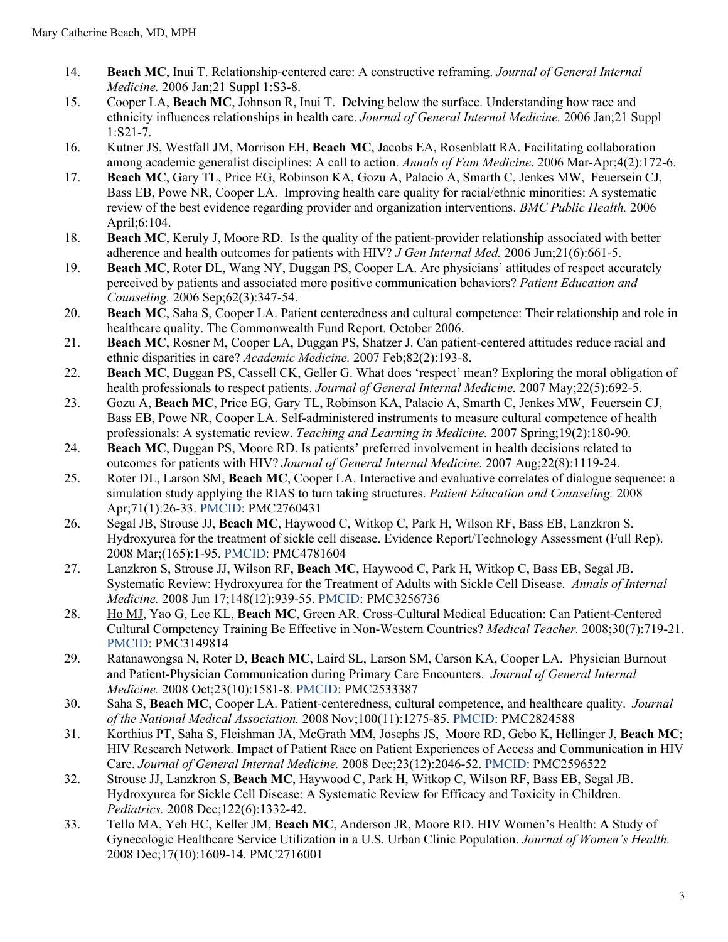- 14. **Beach MC**, Inui T. Relationship-centered care: A constructive reframing. *Journal of General Internal Medicine.* 2006 Jan;21 Suppl 1:S3-8.
- 15. Cooper LA, **Beach MC**, Johnson R, Inui T. Delving below the surface. Understanding how race and ethnicity influences relationships in health care. *Journal of General Internal Medicine.* 2006 Jan;21 Suppl 1:S21-7.
- 16. Kutner JS, Westfall JM, Morrison EH, **Beach MC**, Jacobs EA, Rosenblatt RA. Facilitating collaboration among academic generalist disciplines: A call to action. *Annals of Fam Medicine*. 2006 Mar-Apr;4(2):172-6.
- 17. **Beach MC**, Gary TL, Price EG, Robinson KA, Gozu A, Palacio A, Smarth C, Jenkes MW, Feuersein CJ, Bass EB, Powe NR, Cooper LA. Improving health care quality for racial/ethnic minorities: A systematic review of the best evidence regarding provider and organization interventions. *BMC Public Health.* 2006 April;6:104.
- 18. **Beach MC**, Keruly J, Moore RD. Is the quality of the patient-provider relationship associated with better adherence and health outcomes for patients with HIV? *J Gen Internal Med.* 2006 Jun;21(6):661-5.
- 19. **Beach MC**, Roter DL, Wang NY, Duggan PS, Cooper LA. Are physicians' attitudes of respect accurately perceived by patients and associated more positive communication behaviors? *Patient Education and Counseling.* 2006 Sep;62(3):347-54.
- 20. **Beach MC**, Saha S, Cooper LA. Patient centeredness and cultural competence: Their relationship and role in healthcare quality. The Commonwealth Fund Report. October 2006.
- 21. **Beach MC**, Rosner M, Cooper LA, Duggan PS, Shatzer J. Can patient-centered attitudes reduce racial and ethnic disparities in care? *Academic Medicine.* 2007 Feb;82(2):193-8.
- 22. **Beach MC**, Duggan PS, Cassell CK, Geller G. What does 'respect' mean? Exploring the moral obligation of health professionals to respect patients. *Journal of General Internal Medicine.* 2007 May;22(5):692-5.
- 23. Gozu A, **Beach MC**, Price EG, Gary TL, Robinson KA, Palacio A, Smarth C, Jenkes MW, Feuersein CJ, Bass EB, Powe NR, Cooper LA. Self-administered instruments to measure cultural competence of health professionals: A systematic review. *Teaching and Learning in Medicine.* 2007 Spring;19(2):180-90.
- 24. **Beach MC**, Duggan PS, Moore RD. Is patients' preferred involvement in health decisions related to outcomes for patients with HIV? *Journal of General Internal Medicine*. 2007 Aug;22(8):1119-24.
- 25. Roter DL, Larson SM, **Beach MC**, Cooper LA. Interactive and evaluative correlates of dialogue sequence: a simulation study applying the RIAS to turn taking structures. *Patient Education and Counseling.* 2008 Apr;71(1):26-33. PMCID: PMC2760431
- 26. Segal JB, Strouse JJ, **Beach MC**, Haywood C, Witkop C, Park H, Wilson RF, Bass EB, Lanzkron S. Hydroxyurea for the treatment of sickle cell disease. Evidence Report/Technology Assessment (Full Rep). 2008 Mar;(165):1-95. PMCID: PMC4781604
- 27. Lanzkron S, Strouse JJ, Wilson RF, **Beach MC**, Haywood C, Park H, Witkop C, Bass EB, Segal JB. Systematic Review: Hydroxyurea for the Treatment of Adults with Sickle Cell Disease. *Annals of Internal Medicine.* 2008 Jun 17;148(12):939-55. PMCID: PMC3256736
- 28. Ho MJ, Yao G, Lee KL, Beach MC, Green AR. Cross-Cultural Medical Education: Can Patient-Centered Cultural Competency Training Be Effective in Non-Western Countries? *Medical Teacher.* 2008;30(7):719-21. PMCID: PMC3149814
- 29. Ratanawongsa N, Roter D, **Beach MC**, Laird SL, Larson SM, Carson KA, Cooper LA. Physician Burnout and Patient-Physician Communication during Primary Care Encounters. *Journal of General Internal Medicine.* 2008 Oct;23(10):1581-8. PMCID: PMC2533387
- 30. Saha S, **Beach MC**, Cooper LA. Patient-centeredness, cultural competence, and healthcare quality. *Journal of the National Medical Association.* 2008 Nov;100(11):1275-85. PMCID: PMC2824588
- 31. Korthius PT, Saha S, Fleishman JA, McGrath MM, Josephs JS, Moore RD, Gebo K, Hellinger J, **Beach MC**; HIV Research Network. Impact of Patient Race on Patient Experiences of Access and Communication in HIV Care. *Journal of General Internal Medicine.* 2008 Dec;23(12):2046-52. PMCID: PMC2596522
- 32. Strouse JJ, Lanzkron S, **Beach MC**, Haywood C, Park H, Witkop C, Wilson RF, Bass EB, Segal JB. Hydroxyurea for Sickle Cell Disease: A Systematic Review for Efficacy and Toxicity in Children. *Pediatrics.* 2008 Dec;122(6):1332-42.
- 33. Tello MA, Yeh HC, Keller JM, **Beach MC**, Anderson JR, Moore RD. HIV Women's Health: A Study of Gynecologic Healthcare Service Utilization in a U.S. Urban Clinic Population. *Journal of Women's Health.* 2008 Dec;17(10):1609-14. PMC2716001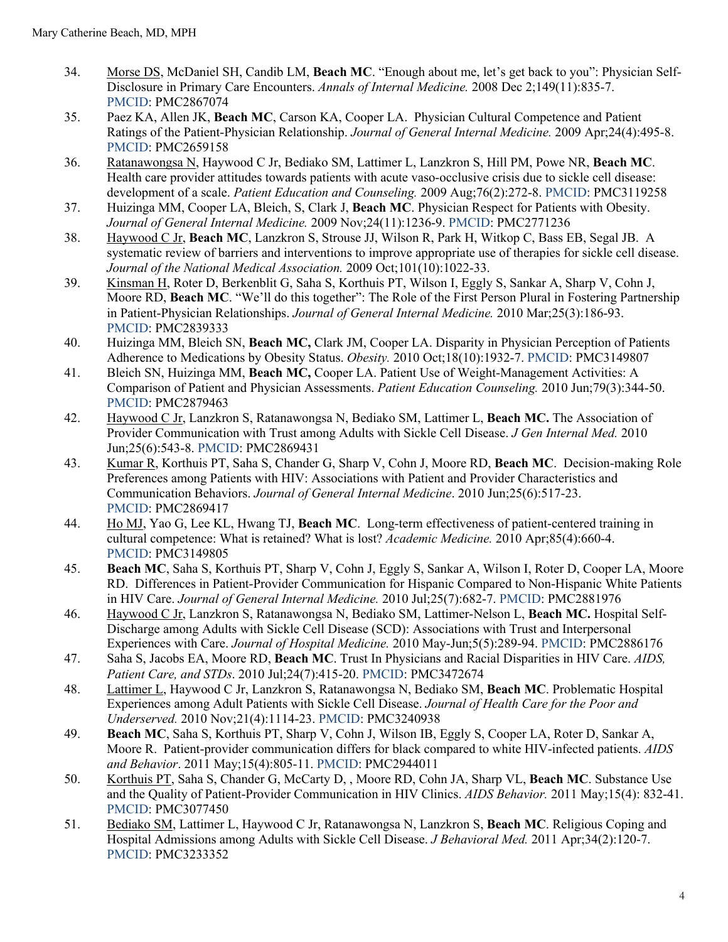- 34. Morse DS, McDaniel SH, Candib LM, **Beach MC**. "Enough about me, let's get back to you": Physician Self-Disclosure in Primary Care Encounters. *Annals of Internal Medicine.* 2008 Dec 2;149(11):835-7. PMCID: PMC2867074
- 35. Paez KA, Allen JK, **Beach MC**, Carson KA, Cooper LA. Physician Cultural Competence and Patient Ratings of the Patient-Physician Relationship. *Journal of General Internal Medicine.* 2009 Apr;24(4):495-8. PMCID: PMC2659158
- 36. Ratanawongsa N, Haywood C Jr, Bediako SM, Lattimer L, Lanzkron S, Hill PM, Powe NR, **Beach MC**. Health care provider attitudes towards patients with acute vaso-occlusive crisis due to sickle cell disease: development of a scale. *Patient Education and Counseling.* 2009 Aug;76(2):272-8. PMCID: PMC3119258
- 37. Huizinga MM, Cooper LA, Bleich, S, Clark J, **Beach MC**. Physician Respect for Patients with Obesity. *Journal of General Internal Medicine.* 2009 Nov;24(11):1236-9. PMCID: PMC2771236
- 38. Haywood C Jr, **Beach MC**, Lanzkron S, Strouse JJ, Wilson R, Park H, Witkop C, Bass EB, Segal JB. A systematic review of barriers and interventions to improve appropriate use of therapies for sickle cell disease. *Journal of the National Medical Association.* 2009 Oct;101(10):1022-33.
- 39. Kinsman H, Roter D, Berkenblit G, Saha S, Korthuis PT, Wilson I, Eggly S, Sankar A, Sharp V, Cohn J, Moore RD, **Beach MC**. "We'll do this together": The Role of the First Person Plural in Fostering Partnership in Patient-Physician Relationships. *Journal of General Internal Medicine.* 2010 Mar;25(3):186-93. PMCID: PMC2839333
- 40. Huizinga MM, Bleich SN, **Beach MC,** Clark JM, Cooper LA. Disparity in Physician Perception of Patients Adherence to Medications by Obesity Status. *Obesity.* 2010 Oct;18(10):1932-7. PMCID: PMC3149807
- 41. Bleich SN, Huizinga MM, **Beach MC,** Cooper LA. Patient Use of Weight-Management Activities: A Comparison of Patient and Physician Assessments. *Patient Education Counseling.* 2010 Jun;79(3):344-50. PMCID: PMC2879463
- 42. Haywood C Jr, Lanzkron S, Ratanawongsa N, Bediako SM, Lattimer L, **Beach MC.** The Association of Provider Communication with Trust among Adults with Sickle Cell Disease. *J Gen Internal Med.* 2010 Jun;25(6):543-8. PMCID: PMC2869431
- 43. Kumar R, Korthuis PT, Saha S, Chander G, Sharp V, Cohn J, Moore RD, **Beach MC**. Decision-making Role Preferences among Patients with HIV: Associations with Patient and Provider Characteristics and Communication Behaviors. *Journal of General Internal Medicine*. 2010 Jun;25(6):517-23. PMCID: PMC2869417
- 44. Ho MJ, Yao G, Lee KL, Hwang TJ, **Beach MC**. Long-term effectiveness of patient-centered training in cultural competence: What is retained? What is lost? *Academic Medicine.* 2010 Apr;85(4):660-4. PMCID: PMC3149805
- 45. **Beach MC**, Saha S, Korthuis PT, Sharp V, Cohn J, Eggly S, Sankar A, Wilson I, Roter D, Cooper LA, Moore RD. Differences in Patient-Provider Communication for Hispanic Compared to Non-Hispanic White Patients in HIV Care. *Journal of General Internal Medicine.* 2010 Jul;25(7):682-7. PMCID: PMC2881976
- 46. Haywood C Jr, Lanzkron S, Ratanawongsa N, Bediako SM, Lattimer-Nelson L, **Beach MC.** Hospital Self-Discharge among Adults with Sickle Cell Disease (SCD): Associations with Trust and Interpersonal Experiences with Care. *Journal of Hospital Medicine.* 2010 May-Jun;5(5):289-94. PMCID: PMC2886176
- 47. Saha S, Jacobs EA, Moore RD, **Beach MC**. Trust In Physicians and Racial Disparities in HIV Care. *AIDS, Patient Care, and STDs*. 2010 Jul;24(7):415-20. PMCID: PMC3472674
- 48. Lattimer L, Haywood C Jr, Lanzkron S, Ratanawongsa N, Bediako SM, **Beach MC**. Problematic Hospital Experiences among Adult Patients with Sickle Cell Disease. *Journal of Health Care for the Poor and Underserved.* 2010 Nov;21(4):1114-23. PMCID: PMC3240938
- 49. **Beach MC**, Saha S, Korthuis PT, Sharp V, Cohn J, Wilson IB, Eggly S, Cooper LA, Roter D, Sankar A, Moore R. Patient-provider communication differs for black compared to white HIV-infected patients. *AIDS and Behavior*. 2011 May;15(4):805-11. PMCID: PMC2944011
- 50. Korthuis PT, Saha S, Chander G, McCarty D, , Moore RD, Cohn JA, Sharp VL, **Beach MC**. Substance Use and the Quality of Patient-Provider Communication in HIV Clinics. *AIDS Behavior.* 2011 May;15(4): 832-41. PMCID: PMC3077450
- 51. Bediako SM, Lattimer L, Haywood C Jr, Ratanawongsa N, Lanzkron S, **Beach MC**. Religious Coping and Hospital Admissions among Adults with Sickle Cell Disease. *J Behavioral Med.* 2011 Apr;34(2):120-7. PMCID: PMC3233352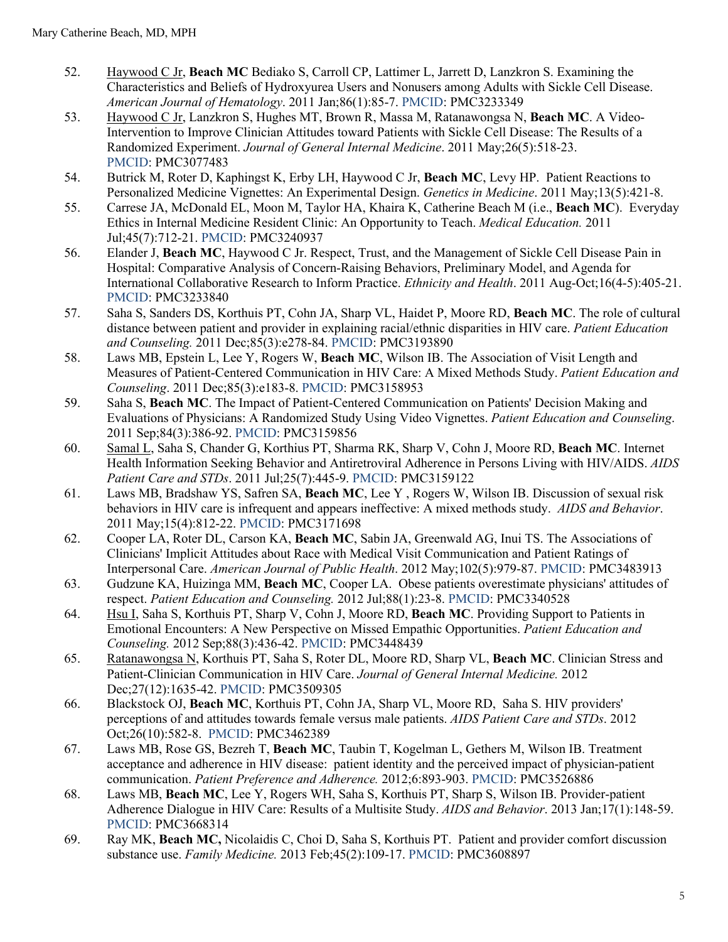- 52. Haywood C Jr, **Beach MC** Bediako S, Carroll CP, Lattimer L, Jarrett D, Lanzkron S. Examining the Characteristics and Beliefs of Hydroxyurea Users and Nonusers among Adults with Sickle Cell Disease. *American Journal of Hematology*. 2011 Jan;86(1):85-7. PMCID: PMC3233349
- 53. Haywood C Jr, Lanzkron S, Hughes MT, Brown R, Massa M, Ratanawongsa N, **Beach MC**. A Video-Intervention to Improve Clinician Attitudes toward Patients with Sickle Cell Disease: The Results of a Randomized Experiment. *Journal of General Internal Medicine*. 2011 May;26(5):518-23. PMCID: PMC3077483
- 54. Butrick M, Roter D, Kaphingst K, Erby LH, Haywood C Jr, **Beach MC**, Levy HP. Patient Reactions to Personalized Medicine Vignettes: An Experimental Design. *Genetics in Medicine*. 2011 May;13(5):421-8.
- 55. Carrese JA, McDonald EL, Moon M, Taylor HA, Khaira K, Catherine Beach M (i.e., **Beach MC**). Everyday Ethics in Internal Medicine Resident Clinic: An Opportunity to Teach. *Medical Education.* 2011 Jul;45(7):712-21. PMCID: PMC3240937
- 56. Elander J, **Beach MC**, Haywood C Jr. Respect, Trust, and the Management of Sickle Cell Disease Pain in Hospital: Comparative Analysis of Concern-Raising Behaviors, Preliminary Model, and Agenda for International Collaborative Research to Inform Practice. *Ethnicity and Health*. 2011 Aug-Oct;16(4-5):405-21. PMCID: PMC3233840
- 57. Saha S, Sanders DS, Korthuis PT, Cohn JA, Sharp VL, Haidet P, Moore RD, **Beach MC**. The role of cultural distance between patient and provider in explaining racial/ethnic disparities in HIV care. *Patient Education and Counseling.* 2011 Dec;85(3):e278-84. PMCID: PMC3193890
- 58. Laws MB, Epstein L, Lee Y, Rogers W, **Beach MC**, Wilson IB. The Association of Visit Length and Measures of Patient-Centered Communication in HIV Care: A Mixed Methods Study. *Patient Education and Counseling*. 2011 Dec;85(3):e183-8. PMCID: PMC3158953
- 59. Saha S, **Beach MC**. The Impact of Patient-Centered Communication on Patients' Decision Making and Evaluations of Physicians: A Randomized Study Using Video Vignettes. *Patient Education and Counseling*. 2011 Sep;84(3):386-92. PMCID: PMC3159856
- 60. Samal L, Saha S, Chander G, Korthius PT, Sharma RK, Sharp V, Cohn J, Moore RD, **Beach MC**. Internet Health Information Seeking Behavior and Antiretroviral Adherence in Persons Living with HIV/AIDS. *AIDS Patient Care and STDs*. 2011 Jul;25(7):445-9. PMCID: PMC3159122
- 61. Laws MB, Bradshaw YS, Safren SA, **Beach MC**, Lee Y , Rogers W, Wilson IB. Discussion of sexual risk behaviors in HIV care is infrequent and appears ineffective: A mixed methods study. *AIDS and Behavior*. 2011 May;15(4):812-22. PMCID: PMC3171698
- 62. Cooper LA, Roter DL, Carson KA, **Beach MC**, Sabin JA, Greenwald AG, Inui TS. The Associations of Clinicians' Implicit Attitudes about Race with Medical Visit Communication and Patient Ratings of Interpersonal Care. *American Journal of Public Health*. 2012 May;102(5):979-87. PMCID: PMC3483913
- 63. Gudzune KA, Huizinga MM, **Beach MC**, Cooper LA. Obese patients overestimate physicians' attitudes of respect. *Patient Education and Counseling.* 2012 Jul;88(1):23-8. PMCID: PMC3340528
- 64. Hsu I, Saha S, Korthuis PT, Sharp V, Cohn J, Moore RD, **Beach MC**. Providing Support to Patients in Emotional Encounters: A New Perspective on Missed Empathic Opportunities. *Patient Education and Counseling.* 2012 Sep;88(3):436-42. PMCID: PMC3448439
- 65. Ratanawongsa N, Korthuis PT, Saha S, Roter DL, Moore RD, Sharp VL, **Beach MC**. Clinician Stress and Patient-Clinician Communication in HIV Care. *Journal of General Internal Medicine.* 2012 Dec;27(12):1635-42. PMCID: PMC3509305
- 66. Blackstock OJ, **Beach MC**, Korthuis PT, Cohn JA, Sharp VL, Moore RD, Saha S. HIV providers' perceptions of and attitudes towards female versus male patients. *AIDS Patient Care and STDs*. 2012 Oct;26(10):582-8. PMCID: PMC3462389
- 67. Laws MB, Rose GS, Bezreh T, **Beach MC**, Taubin T, Kogelman L, Gethers M, Wilson IB. Treatment acceptance and adherence in HIV disease: patient identity and the perceived impact of physician-patient communication. *Patient Preference and Adherence.* 2012;6:893-903. PMCID: PMC3526886
- 68. Laws MB, **Beach MC**, Lee Y, Rogers WH, Saha S, Korthuis PT, Sharp S, Wilson IB. Provider-patient Adherence Dialogue in HIV Care: Results of a Multisite Study. *AIDS and Behavior*. 2013 Jan;17(1):148-59. PMCID: PMC3668314
- 69. Ray MK, **Beach MC,** Nicolaidis C, Choi D, Saha S, Korthuis PT. Patient and provider comfort discussion substance use. *Family Medicine.* 2013 Feb;45(2):109-17. PMCID: PMC3608897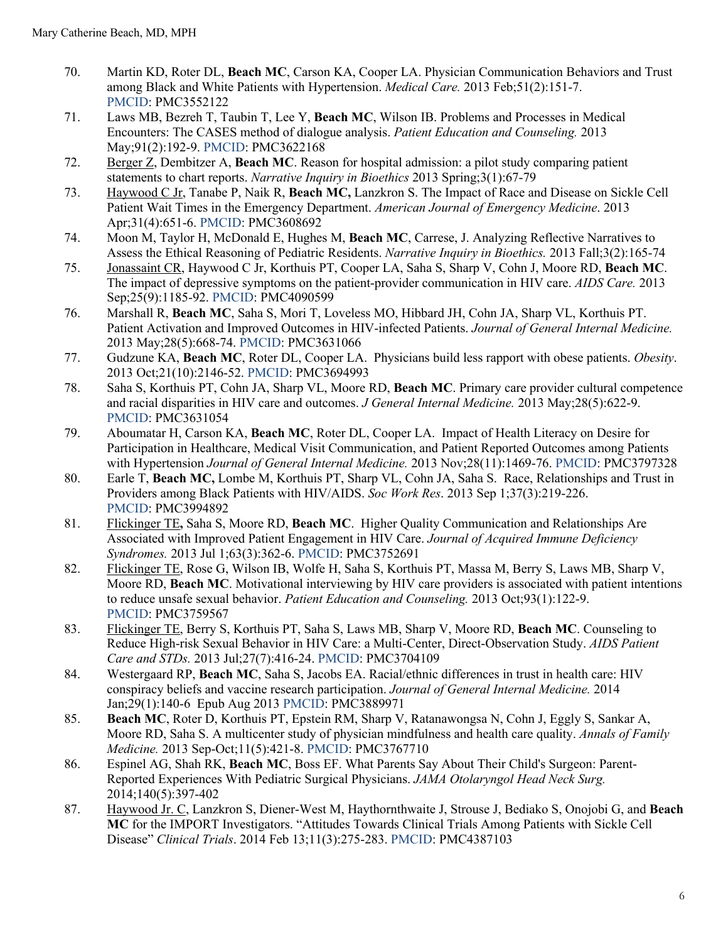- 70. Martin KD, Roter DL, **Beach MC**, Carson KA, Cooper LA. Physician Communication Behaviors and Trust among Black and White Patients with Hypertension. *Medical Care.* 2013 Feb;51(2):151-7. PMCID: PMC3552122
- 71. Laws MB, Bezreh T, Taubin T, Lee Y, **Beach MC**, Wilson IB. Problems and Processes in Medical Encounters: The CASES method of dialogue analysis. *Patient Education and Counseling.* 2013 May;91(2):192-9. PMCID: PMC3622168
- 72. Berger Z, Dembitzer A, **Beach MC**. Reason for hospital admission: a pilot study comparing patient statements to chart reports. *Narrative Inquiry in Bioethics* 2013 Spring;3(1):67-79
- 73. Haywood C Jr, Tanabe P, Naik R, **Beach MC,** Lanzkron S. The Impact of Race and Disease on Sickle Cell Patient Wait Times in the Emergency Department. *American Journal of Emergency Medicine*. 2013 Apr;31(4):651-6. PMCID: PMC3608692
- 74. Moon M, Taylor H, McDonald E, Hughes M, **Beach MC**, Carrese, J. Analyzing Reflective Narratives to Assess the Ethical Reasoning of Pediatric Residents. *Narrative Inquiry in Bioethics.* 2013 Fall;3(2):165-74
- 75. Jonassaint CR, Haywood C Jr, Korthuis PT, Cooper LA, Saha S, Sharp V, Cohn J, Moore RD, **Beach MC**. The impact of depressive symptoms on the patient-provider communication in HIV care. *AIDS Care.* 2013 Sep;25(9):1185-92. PMCID: PMC4090599
- 76. Marshall R, **Beach MC**, Saha S, Mori T, Loveless MO, Hibbard JH, Cohn JA, Sharp VL, Korthuis PT. Patient Activation and Improved Outcomes in HIV-infected Patients. *Journal of General Internal Medicine.* 2013 May;28(5):668-74. PMCID: PMC3631066
- 77. Gudzune KA, **Beach MC**, Roter DL, Cooper LA. Physicians build less rapport with obese patients. *Obesity*. 2013 Oct;21(10):2146-52. PMCID: PMC3694993
- 78. Saha S, Korthuis PT, Cohn JA, Sharp VL, Moore RD, **Beach MC**. Primary care provider cultural competence and racial disparities in HIV care and outcomes. *J General Internal Medicine.* 2013 May;28(5):622-9. PMCID: PMC3631054
- 79. Aboumatar H, Carson KA, **Beach MC**, Roter DL, Cooper LA. Impact of Health Literacy on Desire for Participation in Healthcare, Medical Visit Communication, and Patient Reported Outcomes among Patients with Hypertension *Journal of General Internal Medicine.* 2013 Nov;28(11):1469-76. PMCID: PMC3797328
- 80. Earle T, **Beach MC,** Lombe M, Korthuis PT, Sharp VL, Cohn JA, Saha S. Race, Relationships and Trust in Providers among Black Patients with HIV/AIDS. *Soc Work Res*. 2013 Sep 1;37(3):219-226. PMCID: PMC3994892
- 81. Flickinger TE**,** Saha S, Moore RD, **Beach MC**. Higher Quality Communication and Relationships Are Associated with Improved Patient Engagement in HIV Care. *Journal of Acquired Immune Deficiency Syndromes.* 2013 Jul 1;63(3):362-6. PMCID: PMC3752691
- 82. Flickinger TE, Rose G, Wilson IB, Wolfe H, Saha S, Korthuis PT, Massa M, Berry S, Laws MB, Sharp V, Moore RD, **Beach MC**. Motivational interviewing by HIV care providers is associated with patient intentions to reduce unsafe sexual behavior. *Patient Education and Counseling.* 2013 Oct;93(1):122-9. PMCID: PMC3759567
- 83. Flickinger TE, Berry S, Korthuis PT, Saha S, Laws MB, Sharp V, Moore RD, **Beach MC**. Counseling to Reduce High-risk Sexual Behavior in HIV Care: a Multi-Center, Direct-Observation Study. *AIDS Patient Care and STDs.* 2013 Jul;27(7):416-24. PMCID: PMC3704109
- 84. Westergaard RP, **Beach MC**, Saha S, Jacobs EA. Racial/ethnic differences in trust in health care: HIV conspiracy beliefs and vaccine research participation. *Journal of General Internal Medicine.* 2014 Jan;29(1):140-6 Epub Aug 2013 PMCID: PMC3889971
- 85. **Beach MC**, Roter D, Korthuis PT, Epstein RM, Sharp V, Ratanawongsa N, Cohn J, Eggly S, Sankar A, Moore RD, Saha S. A multicenter study of physician mindfulness and health care quality. *Annals of Family Medicine.* 2013 Sep-Oct;11(5):421-8. PMCID: PMC3767710
- 86. Espinel AG, Shah RK, **Beach MC**, Boss EF. What Parents Say About Their Child's Surgeon: Parent-Reported Experiences With Pediatric Surgical Physicians. *JAMA Otolaryngol Head Neck Surg.* 2014;140(5):397-402
- 87. Haywood Jr. C, Lanzkron S, Diener-West M, Haythornthwaite J, Strouse J, Bediako S, Onojobi G, and **Beach MC** for the IMPORT Investigators. "Attitudes Towards Clinical Trials Among Patients with Sickle Cell Disease" *Clinical Trials*. 2014 Feb 13;11(3):275-283. PMCID: PMC4387103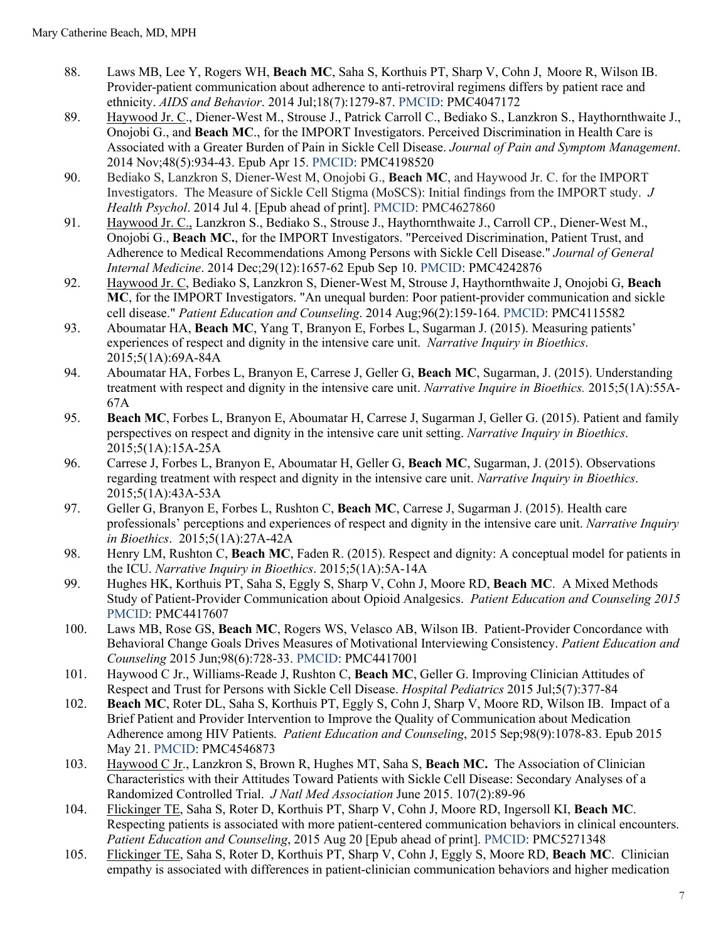- 88. Laws MB, Lee Y, Rogers WH, **Beach MC**, Saha S, Korthuis PT, Sharp V, Cohn J, Moore R, Wilson IB. Provider-patient communication about adherence to anti-retroviral regimens differs by patient race and ethnicity. *AIDS and Behavior*. 2014 Jul;18(7):1279-87. PMCID: PMC4047172
- 89. Haywood Jr. C., Diener-West M., Strouse J., Patrick Carroll C., Bediako S., Lanzkron S., Haythornthwaite J., Onojobi G., and **Beach MC**., for the IMPORT Investigators. Perceived Discrimination in Health Care is Associated with a Greater Burden of Pain in Sickle Cell Disease. *Journal of Pain and Symptom Management*. 2014 Nov;48(5):934-43. Epub Apr 15. PMCID: PMC4198520
- 90. Bediako S, Lanzkron S, Diener-West M, Onojobi G., **Beach MC**, and Haywood Jr. C. for the IMPORT Investigators. The Measure of Sickle Cell Stigma (MoSCS): Initial findings from the IMPORT study. *J Health Psychol*. 2014 Jul 4. [Epub ahead of print]. PMCID: PMC4627860
- 91. Haywood Jr. C., Lanzkron S., Bediako S., Strouse J., Haythornthwaite J., Carroll CP., Diener-West M., Onojobi G., **Beach MC.**, for the IMPORT Investigators. "Perceived Discrimination, Patient Trust, and Adherence to Medical Recommendations Among Persons with Sickle Cell Disease." *Journal of General Internal Medicine*. 2014 Dec;29(12):1657-62 Epub Sep 10. PMCID: PMC4242876
- 92. Haywood Jr. C, Bediako S, Lanzkron S, Diener-West M, Strouse J, Haythornthwaite J, Onojobi G, **Beach MC**, for the IMPORT Investigators. "An unequal burden: Poor patient-provider communication and sickle cell disease." *Patient Education and Counseling*. 2014 Aug;96(2):159-164. PMCID: PMC4115582
- 93. Aboumatar HA, **Beach MC**, Yang T, Branyon E, Forbes L, Sugarman J. (2015). Measuring patients' experiences of respect and dignity in the intensive care unit. *Narrative Inquiry in Bioethics*. 2015;5(1A):69A-84A
- 94. Aboumatar HA, Forbes L, Branyon E, Carrese J, Geller G, **Beach MC**, Sugarman, J. (2015). Understanding treatment with respect and dignity in the intensive care unit. *Narrative Inquire in Bioethics.* 2015;5(1A):55A-67A
- 95. **Beach MC**, Forbes L, Branyon E, Aboumatar H, Carrese J, Sugarman J, Geller G. (2015). Patient and family perspectives on respect and dignity in the intensive care unit setting. *Narrative Inquiry in Bioethics*. 2015;5(1A):15A-25A
- 96. Carrese J, Forbes L, Branyon E, Aboumatar H, Geller G, **Beach MC**, Sugarman, J. (2015). Observations regarding treatment with respect and dignity in the intensive care unit. *Narrative Inquiry in Bioethics*. 2015;5(1A):43A-53A
- 97. Geller G, Branyon E, Forbes L, Rushton C, **Beach MC**, Carrese J, Sugarman J. (2015). Health care professionals' perceptions and experiences of respect and dignity in the intensive care unit. *Narrative Inquiry in Bioethics*. 2015;5(1A):27A-42A
- 98. Henry LM, Rushton C, **Beach MC**, Faden R. (2015). Respect and dignity: A conceptual model for patients in the ICU. *Narrative Inquiry in Bioethics*. 2015;5(1A):5A-14A
- 99. Hughes HK, Korthuis PT, Saha S, Eggly S, Sharp V, Cohn J, Moore RD, **Beach MC**. A Mixed Methods Study of Patient-Provider Communication about Opioid Analgesics. *Patient Education and Counseling 2015* PMCID: PMC4417607
- 100. Laws MB, Rose GS, **Beach MC**, Rogers WS, Velasco AB, Wilson IB. Patient-Provider Concordance with Behavioral Change Goals Drives Measures of Motivational Interviewing Consistency. *Patient Education and Counseling* 2015 Jun;98(6):728-33. PMCID: PMC4417001
- 101. Haywood C Jr., Williams-Reade J, Rushton C, **Beach MC**, Geller G. Improving Clinician Attitudes of Respect and Trust for Persons with Sickle Cell Disease. *Hospital Pediatrics* 2015 Jul;5(7):377-84
- 102. **Beach MC**, Roter DL, Saha S, Korthuis PT, Eggly S, Cohn J, Sharp V, Moore RD, Wilson IB. Impact of a Brief Patient and Provider Intervention to Improve the Quality of Communication about Medication Adherence among HIV Patients. *Patient Education and Counseling*, 2015 Sep;98(9):1078-83. Epub 2015 May 21. PMCID: PMC4546873
- 103. Haywood C Jr., Lanzkron S, Brown R, Hughes MT, Saha S, **Beach MC.** The Association of Clinician Characteristics with their Attitudes Toward Patients with Sickle Cell Disease: Secondary Analyses of a Randomized Controlled Trial. *J Natl Med Association* June 2015. 107(2):89-96
- 104. Flickinger TE, Saha S, Roter D, Korthuis PT, Sharp V, Cohn J, Moore RD, Ingersoll KI, **Beach MC**. Respecting patients is associated with more patient-centered communication behaviors in clinical encounters. *Patient Education and Counseling*, 2015 Aug 20 [Epub ahead of print]. PMCID: PMC5271348
- 105. Flickinger TE, Saha S, Roter D, Korthuis PT, Sharp V, Cohn J, Eggly S, Moore RD, **Beach MC**. Clinician empathy is associated with differences in patient-clinician communication behaviors and higher medication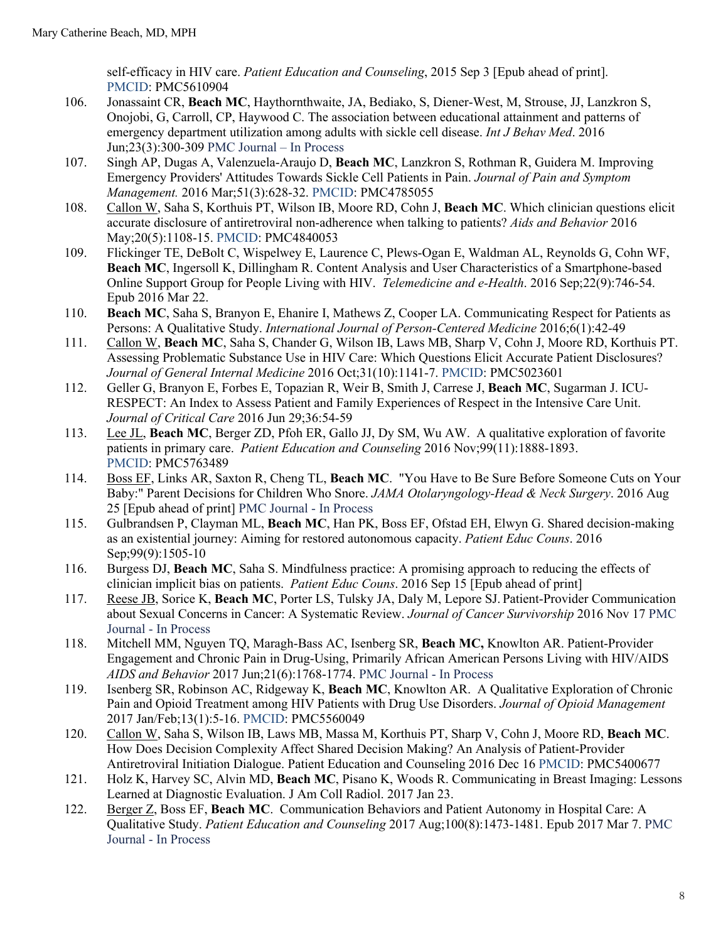self-efficacy in HIV care. *Patient Education and Counseling*, 2015 Sep 3 [Epub ahead of print]. PMCID: PMC5610904

- 106. Jonassaint CR, **Beach MC**, Haythornthwaite, JA, Bediako, S, Diener-West, M, Strouse, JJ, Lanzkron S, Onojobi, G, Carroll, CP, Haywood C. The association between educational attainment and patterns of emergency department utilization among adults with sickle cell disease. *Int J Behav Med*. 2016 Jun;23(3):300-309 PMC Journal – In Process
- 107. Singh AP, Dugas A, Valenzuela-Araujo D, **Beach MC**, Lanzkron S, Rothman R, Guidera M. Improving Emergency Providers' Attitudes Towards Sickle Cell Patients in Pain. *Journal of Pain and Symptom Management.* 2016 Mar;51(3):628-32. PMCID: PMC4785055
- 108. Callon W, Saha S, Korthuis PT, Wilson IB, Moore RD, Cohn J, **Beach MC**. Which clinician questions elicit accurate disclosure of antiretroviral non-adherence when talking to patients? *Aids and Behavior* 2016 May;20(5):1108-15. PMCID: PMC4840053
- 109. Flickinger TE, DeBolt C, Wispelwey E, Laurence C, Plews-Ogan E, Waldman AL, Reynolds G, Cohn WF, **Beach MC**, Ingersoll K, Dillingham R. Content Analysis and User Characteristics of a Smartphone-based Online Support Group for People Living with HIV. *Telemedicine and e-Health*. 2016 Sep;22(9):746-54. Epub 2016 Mar 22.
- 110. **Beach MC**, Saha S, Branyon E, Ehanire I, Mathews Z, Cooper LA. Communicating Respect for Patients as Persons: A Qualitative Study. *International Journal of Person-Centered Medicine* 2016;6(1):42-49
- 111. Callon W, **Beach MC**, Saha S, Chander G, Wilson IB, Laws MB, Sharp V, Cohn J, Moore RD, Korthuis PT. Assessing Problematic Substance Use in HIV Care: Which Questions Elicit Accurate Patient Disclosures? *Journal of General Internal Medicine* 2016 Oct;31(10):1141-7. PMCID: PMC5023601
- 112. Geller G, Branyon E, Forbes E, Topazian R, Weir B, Smith J, Carrese J, **Beach MC**, Sugarman J. ICU-RESPECT: An Index to Assess Patient and Family Experiences of Respect in the Intensive Care Unit. *Journal of Critical Care* 2016 Jun 29;36:54-59
- 113. Lee JL, **Beach MC**, Berger ZD, Pfoh ER, Gallo JJ, Dy SM, Wu AW. A qualitative exploration of favorite patients in primary care. *Patient Education and Counseling* 2016 Nov;99(11):1888-1893. PMCID: PMC5763489
- 114. Boss EF, Links AR, Saxton R, Cheng TL, **Beach MC**. "You Have to Be Sure Before Someone Cuts on Your Baby:" Parent Decisions for Children Who Snore. *JAMA Otolaryngology-Head & Neck Surgery*. 2016 Aug 25 [Epub ahead of print] PMC Journal - In Process
- 115. Gulbrandsen P, Clayman ML, **Beach MC**, Han PK, Boss EF, Ofstad EH, Elwyn G. Shared decision-making as an existential journey: Aiming for restored autonomous capacity. *Patient Educ Couns*. 2016 Sep;99(9):1505-10
- 116. Burgess DJ, **Beach MC**, Saha S. Mindfulness practice: A promising approach to reducing the effects of clinician implicit bias on patients. *Patient Educ Couns*. 2016 Sep 15 [Epub ahead of print]
- 117. Reese JB, Sorice K, **Beach MC**, Porter LS, Tulsky JA, Daly M, Lepore SJ. Patient-Provider Communication about Sexual Concerns in Cancer: A Systematic Review. *Journal of Cancer Survivorship* 2016 Nov 17 PMC Journal - In Process
- 118. Mitchell MM, Nguyen TQ, Maragh-Bass AC, Isenberg SR, **Beach MC,** Knowlton AR. Patient-Provider Engagement and Chronic Pain in Drug-Using, Primarily African American Persons Living with HIV/AIDS *AIDS and Behavior* 2017 Jun;21(6):1768-1774. PMC Journal - In Process
- 119. Isenberg SR, Robinson AC, Ridgeway K, **Beach MC**, Knowlton AR. A Qualitative Exploration of Chronic Pain and Opioid Treatment among HIV Patients with Drug Use Disorders. *Journal of Opioid Management* 2017 Jan/Feb;13(1):5-16. PMCID: PMC5560049
- 120. Callon W, Saha S, Wilson IB, Laws MB, Massa M, Korthuis PT, Sharp V, Cohn J, Moore RD, **Beach MC**. How Does Decision Complexity Affect Shared Decision Making? An Analysis of Patient-Provider Antiretroviral Initiation Dialogue. Patient Education and Counseling 2016 Dec 16 PMCID: PMC5400677
- 121. Holz K, Harvey SC, Alvin MD, **Beach MC**, Pisano K, Woods R. Communicating in Breast Imaging: Lessons Learned at Diagnostic Evaluation. J Am Coll Radiol. 2017 Jan 23.
- 122. Berger Z, Boss EF, **Beach MC**. Communication Behaviors and Patient Autonomy in Hospital Care: A Qualitative Study. *Patient Education and Counseling* 2017 Aug;100(8):1473-1481. Epub 2017 Mar 7. PMC Journal - In Process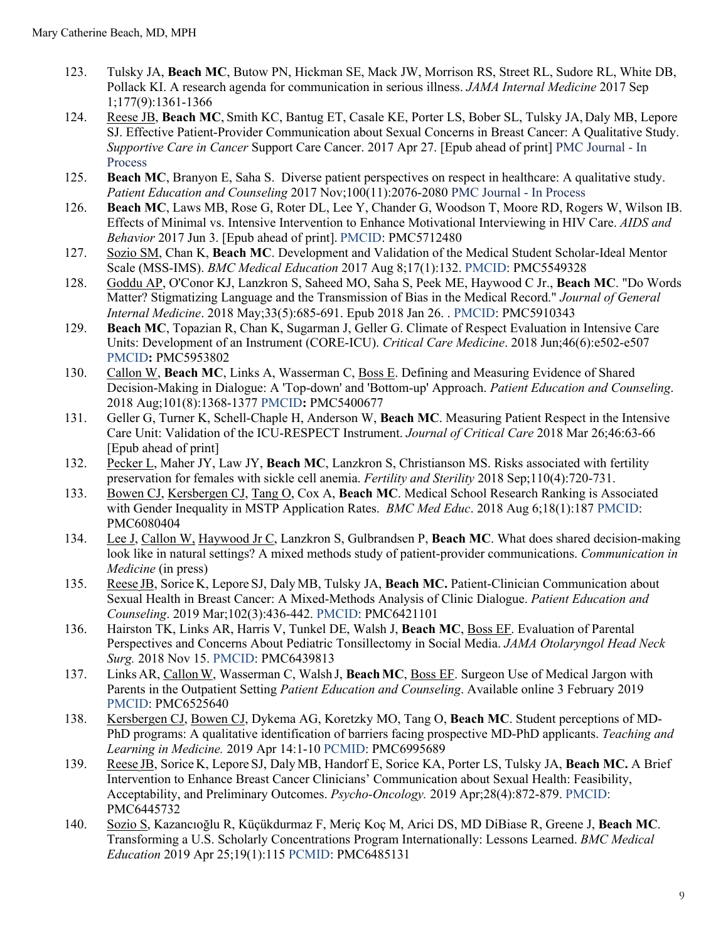- 123. Tulsky JA, **Beach MC**, Butow PN, Hickman SE, Mack JW, Morrison RS, Street RL, Sudore RL, White DB, Pollack KI. A research agenda for communication in serious illness. *JAMA Internal Medicine* 2017 Sep 1;177(9):1361-1366
- 124. Reese JB, **Beach MC**, Smith KC, Bantug ET, Casale KE, Porter LS, Bober SL, Tulsky JA, Daly MB, Lepore SJ. Effective Patient-Provider Communication about Sexual Concerns in Breast Cancer: A Qualitative Study. *Supportive Care in Cancer* Support Care Cancer. 2017 Apr 27. [Epub ahead of print] PMC Journal - In **Process**
- 125. **Beach MC**, Branyon E, Saha S. Diverse patient perspectives on respect in healthcare: A qualitative study. *Patient Education and Counseling* 2017 Nov;100(11):2076-2080 PMC Journal - In Process
- 126. **Beach MC**, Laws MB, Rose G, Roter DL, Lee Y, Chander G, Woodson T, Moore RD, Rogers W, Wilson IB. Effects of Minimal vs. Intensive Intervention to Enhance Motivational Interviewing in HIV Care. *AIDS and Behavior* 2017 Jun 3. [Epub ahead of print]. PMCID: PMC5712480
- 127. Sozio SM, Chan K, **Beach MC**. Development and Validation of the Medical Student Scholar-Ideal Mentor Scale (MSS-IMS). *BMC Medical Education* 2017 Aug 8;17(1):132. PMCID: PMC5549328
- 128. Goddu AP, O'Conor KJ, Lanzkron S, Saheed MO, Saha S, Peek ME, Haywood C Jr., **Beach MC**. "Do Words Matter? Stigmatizing Language and the Transmission of Bias in the Medical Record." *Journal of General Internal Medicine*. 2018 May;33(5):685-691. Epub 2018 Jan 26. . PMCID: PMC5910343
- 129. **Beach MC**, Topazian R, Chan K, Sugarman J, Geller G. Climate of Respect Evaluation in Intensive Care Units: Development of an Instrument (CORE-ICU). *Critical Care Medicine*. 2018 Jun;46(6):e502-e507 PMCID**:** PMC5953802
- 130. Callon W, **Beach MC**, Links A, Wasserman C, Boss E. Defining and Measuring Evidence of Shared Decision-Making in Dialogue: A 'Top-down' and 'Bottom-up' Approach. *Patient Education and Counseling*. 2018 Aug;101(8):1368-1377 PMCID**:** PMC5400677
- 131. Geller G, Turner K, Schell-Chaple H, Anderson W, **Beach MC**. Measuring Patient Respect in the Intensive Care Unit: Validation of the ICU-RESPECT Instrument. *Journal of Critical Care* 2018 Mar 26;46:63-66 [Epub ahead of print]
- 132. Pecker L, Maher JY, Law JY, **Beach MC**, Lanzkron S, Christianson MS. Risks associated with fertility preservation for females with sickle cell anemia. *Fertility and Sterility* 2018 Sep;110(4):720-731.
- 133. Bowen CJ, Kersbergen CJ, Tang O, Cox A, **Beach MC**. Medical School Research Ranking is Associated with Gender Inequality in MSTP Application Rates. *BMC Med Educ*. 2018 Aug 6;18(1):187 PMCID: PMC6080404
- 134. Lee J, Callon W, Haywood Jr C, Lanzkron S, Gulbrandsen P, **Beach MC**. What does shared decision-making look like in natural settings? A mixed methods study of patient-provider communications. *Communication in Medicine* (in press)
- 135. Reese JB, Sorice K, Lepore SJ, Daly MB, Tulsky JA, **Beach MC.** Patient-Clinician Communication about Sexual Health in Breast Cancer: A Mixed-Methods Analysis of Clinic Dialogue. *Patient Education and Counseling*. 2019 Mar;102(3):436-442. PMCID: PMC6421101
- 136. Hairston TK, Links AR, Harris V, Tunkel DE, Walsh J, **Beach MC**, Boss EF. Evaluation of Parental Perspectives and Concerns About Pediatric Tonsillectomy in Social Media. *JAMA Otolaryngol Head Neck Surg.* 2018 Nov 15. PMCID: PMC6439813
- 137. Links AR, CallonW, Wasserman C, Walsh J, **BeachMC**, Boss EF. Surgeon Use of Medical Jargon with Parents in the Outpatient Setting *Patient Education and Counseling*. Available online 3 February 2019 PMCID: PMC6525640
- 138. Kersbergen CJ, Bowen CJ, Dykema AG, Koretzky MO, Tang O, **Beach MC**. Student perceptions of MD-PhD programs: A qualitative identification of barriers facing prospective MD-PhD applicants. *Teaching and Learning in Medicine.* 2019 Apr 14:1-10 PCMID: PMC6995689
- 139. Reese JB, Sorice K, Lepore SJ, Daly MB, Handorf E, Sorice KA, Porter LS, Tulsky JA, **Beach MC.** A Brief Intervention to Enhance Breast Cancer Clinicians' Communication about Sexual Health: Feasibility, Acceptability, and Preliminary Outcomes. *Psycho-Oncology.* 2019 Apr;28(4):872-879. PMCID: PMC6445732
- 140. Sozio S, Kazancıoğlu R, Küçükdurmaz F, Meriç Koç M, Arici DS, MD DiBiase R, Greene J, **Beach MC**. Transforming a U.S. Scholarly Concentrations Program Internationally: Lessons Learned. *BMC Medical Education* 2019 Apr 25;19(1):115 PCMID: PMC6485131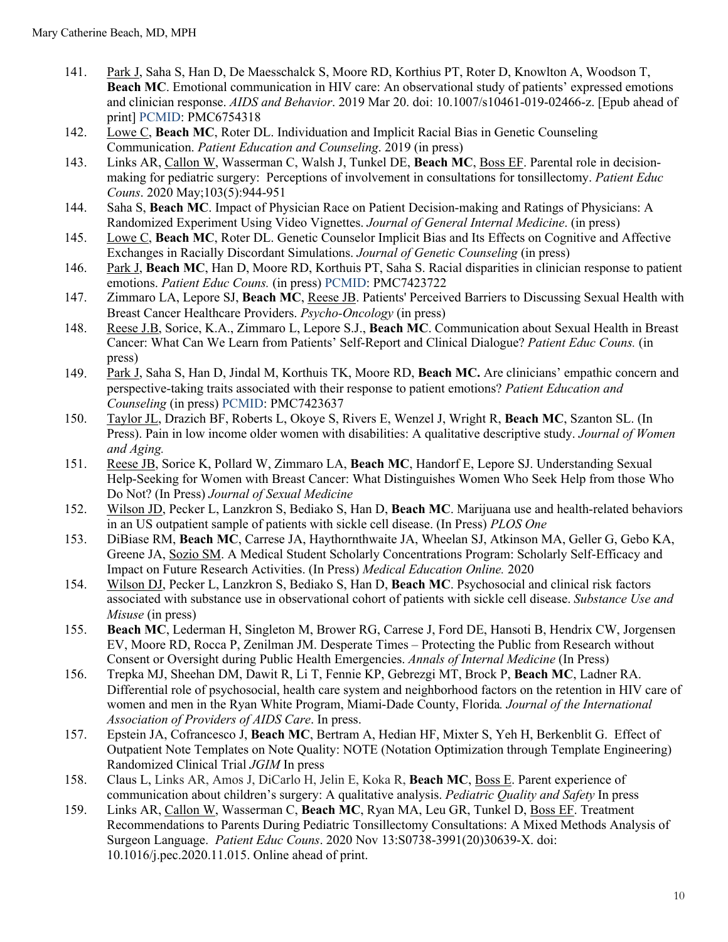- 141. Park J, Saha S, Han D, De Maesschalck S, Moore RD, Korthius PT, Roter D, Knowlton A, Woodson T, **Beach MC**. Emotional communication in HIV care: An observational study of patients' expressed emotions and clinician response. *AIDS and Behavior*. 2019 Mar 20. doi: 10.1007/s10461-019-02466-z. [Epub ahead of print] PCMID: PMC6754318
- 142. Lowe C, **Beach MC**, Roter DL. Individuation and Implicit Racial Bias in Genetic Counseling Communication. *Patient Education and Counseling*. 2019 (in press)
- 143. Links AR, Callon W, Wasserman C, Walsh J, Tunkel DE, **Beach MC**, Boss EF. Parental role in decisionmaking for pediatric surgery: Perceptions of involvement in consultations for tonsillectomy. *Patient Educ Couns*. 2020 May;103(5):944-951
- 144. Saha S, **Beach MC**. Impact of Physician Race on Patient Decision-making and Ratings of Physicians: A Randomized Experiment Using Video Vignettes. *Journal of General Internal Medicine*. (in press)
- 145. Lowe C, **Beach MC**, Roter DL. Genetic Counselor Implicit Bias and Its Effects on Cognitive and Affective Exchanges in Racially Discordant Simulations. *Journal of Genetic Counseling* (in press)
- 146. Park J, **Beach MC**, Han D, Moore RD, Korthuis PT, Saha S. Racial disparities in clinician response to patient emotions. *Patient Educ Couns.* (in press) PCMID: PMC7423722
- 147. Zimmaro LA, Lepore SJ, **Beach MC**, Reese JB. Patients' Perceived Barriers to Discussing Sexual Health with Breast Cancer Healthcare Providers. *Psycho-Oncology* (in press)
- 148. Reese J.B, Sorice, K.A., Zimmaro L, Lepore S.J., **Beach MC**. Communication about Sexual Health in Breast Cancer: What Can We Learn from Patients' Self-Report and Clinical Dialogue? *Patient Educ Couns.* (in press)
- 149. Park J, Saha S, Han D, Jindal M, Korthuis TK, Moore RD, **Beach MC.** Are clinicians' empathic concern and perspective-taking traits associated with their response to patient emotions? *Patient Education and Counseling* (in press) PCMID: PMC7423637
- 150. Taylor JL, Drazich BF, Roberts L, Okoye S, Rivers E, Wenzel J, Wright R, **Beach MC**, Szanton SL. (In Press). Pain in low income older women with disabilities: A qualitative descriptive study. *Journal of Women and Aging.*
- 151. Reese JB, Sorice K, Pollard W, Zimmaro LA, **Beach MC**, Handorf E, Lepore SJ. Understanding Sexual Help-Seeking for Women with Breast Cancer: What Distinguishes Women Who Seek Help from those Who Do Not? (In Press) *Journal of Sexual Medicine*
- 152. Wilson JD, Pecker L, Lanzkron S, Bediako S, Han D, **Beach MC**. Marijuana use and health-related behaviors in an US outpatient sample of patients with sickle cell disease. (In Press) *PLOS One*
- 153. DiBiase RM, **Beach MC**, Carrese JA, Haythornthwaite JA, Wheelan SJ, Atkinson MA, Geller G, Gebo KA, Greene JA, Sozio SM. A Medical Student Scholarly Concentrations Program: Scholarly Self-Efficacy and Impact on Future Research Activities. (In Press) *Medical Education Online.* 2020
- 154. Wilson DJ, Pecker L, Lanzkron S, Bediako S, Han D, **Beach MC**. Psychosocial and clinical risk factors associated with substance use in observational cohort of patients with sickle cell disease. *Substance Use and Misuse* (in press)
- 155. **Beach MC**, Lederman H, Singleton M, Brower RG, Carrese J, Ford DE, Hansoti B, Hendrix CW, Jorgensen EV, Moore RD, Rocca P, Zenilman JM. Desperate Times – Protecting the Public from Research without Consent or Oversight during Public Health Emergencies. *Annals of Internal Medicine* (In Press)
- 156. Trepka MJ, Sheehan DM, Dawit R, Li T, Fennie KP, Gebrezgi MT, Brock P, **Beach MC**, Ladner RA. Differential role of psychosocial, health care system and neighborhood factors on the retention in HIV care of women and men in the Ryan White Program, Miami-Dade County, Florida*. Journal of the International Association of Providers of AIDS Care*. In press.
- 157. Epstein JA, Cofrancesco J, **Beach MC**, Bertram A, Hedian HF, Mixter S, Yeh H, Berkenblit G. Effect of Outpatient Note Templates on Note Quality: NOTE (Notation Optimization through Template Engineering) Randomized Clinical Trial *JGIM* In press
- 158. Claus L, Links AR, Amos J, DiCarlo H, Jelin E, Koka R, **Beach MC**, Boss E. Parent experience of communication about children's surgery: A qualitative analysis. *Pediatric Quality and Safety* In press
- 159. Links AR, Callon W, Wasserman C, **Beach MC**, Ryan MA, Leu GR, Tunkel D, Boss EF. Treatment Recommendations to Parents During Pediatric Tonsillectomy Consultations: A Mixed Methods Analysis of Surgeon Language. *Patient Educ Couns*. 2020 Nov 13:S0738-3991(20)30639-X. doi: 10.1016/j.pec.2020.11.015. Online ahead of print.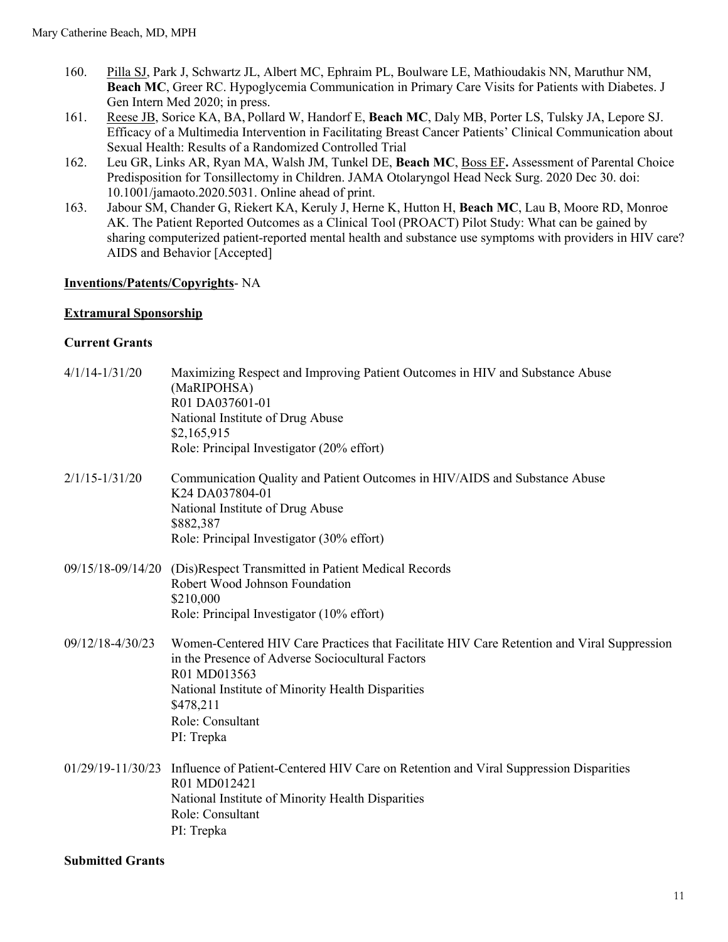- 160. Pilla SJ, Park J, Schwartz JL, Albert MC, Ephraim PL, Boulware LE, Mathioudakis NN, Maruthur NM, **Beach MC**, Greer RC. Hypoglycemia Communication in Primary Care Visits for Patients with Diabetes. J Gen Intern Med 2020; in press.
- 161. Reese JB, Sorice KA, BA, Pollard W, Handorf E, **Beach MC**, Daly MB, Porter LS, Tulsky JA, Lepore SJ. Efficacy of a Multimedia Intervention in Facilitating Breast Cancer Patients' Clinical Communication about Sexual Health: Results of a Randomized Controlled Trial
- 162. Leu GR, Links AR, Ryan MA, Walsh JM, Tunkel DE, **Beach MC**, Boss EF**.** Assessment of Parental Choice Predisposition for Tonsillectomy in Children. JAMA Otolaryngol Head Neck Surg. 2020 Dec 30. doi: 10.1001/jamaoto.2020.5031. Online ahead of print.
- 163. Jabour SM, Chander G, Riekert KA, Keruly J, Herne K, Hutton H, **Beach MC**, Lau B, Moore RD, Monroe AK. The Patient Reported Outcomes as a Clinical Tool (PROACT) Pilot Study: What can be gained by sharing computerized patient-reported mental health and substance use symptoms with providers in HIV care? AIDS and Behavior [Accepted]

#### **Inventions/Patents/Copyrights**- NA

#### **Extramural Sponsorship**

#### **Current Grants**

| $4/1/14 - 1/31/20$ | Maximizing Respect and Improving Patient Outcomes in HIV and Substance Abuse<br>(MaRIPOHSA)<br>R01 DA037601-01<br>National Institute of Drug Abuse<br>\$2,165,915<br>Role: Principal Investigator (20% effort)                                                     |
|--------------------|--------------------------------------------------------------------------------------------------------------------------------------------------------------------------------------------------------------------------------------------------------------------|
| $2/1/15 - 1/31/20$ | Communication Quality and Patient Outcomes in HIV/AIDS and Substance Abuse<br>K24 DA037804-01<br>National Institute of Drug Abuse<br>\$882,387<br>Role: Principal Investigator (30% effort)                                                                        |
|                    | 09/15/18-09/14/20 (Dis)Respect Transmitted in Patient Medical Records<br>Robert Wood Johnson Foundation<br>\$210,000<br>Role: Principal Investigator (10% effort)                                                                                                  |
| 09/12/18-4/30/23   | Women-Centered HIV Care Practices that Facilitate HIV Care Retention and Viral Suppression<br>in the Presence of Adverse Sociocultural Factors<br>R01 MD013563<br>National Institute of Minority Health Disparities<br>\$478,211<br>Role: Consultant<br>PI: Trepka |
|                    | 01/29/19-11/30/23 Influence of Patient-Centered HIV Care on Retention and Viral Suppression Disparities<br>R01 MD012421<br>National Institute of Minority Health Disparities<br>Role: Consultant<br>PI: Trepka                                                     |

#### **Submitted Grants**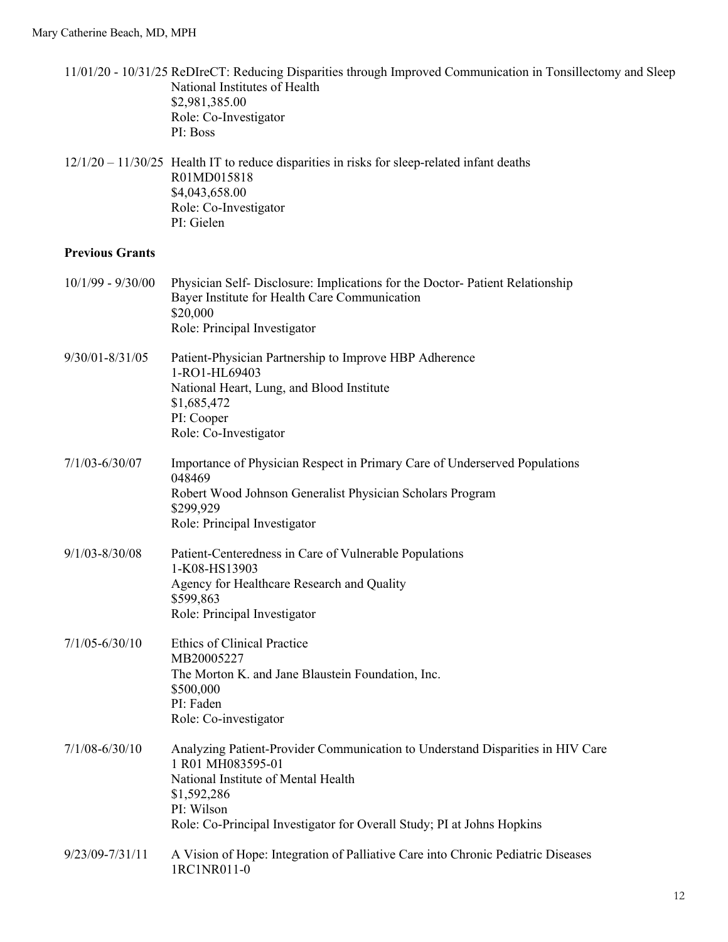|                        | 11/01/20 - 10/31/25 ReDIreCT: Reducing Disparities through Improved Communication in Tonsillectomy and Sleep<br>National Institutes of Health<br>\$2,981,385.00<br>Role: Co-Investigator<br>PI: Boss                                              |
|------------------------|---------------------------------------------------------------------------------------------------------------------------------------------------------------------------------------------------------------------------------------------------|
|                        | $12/1/20 - 11/30/25$ Health IT to reduce disparities in risks for sleep-related infant deaths<br>R01MD015818<br>\$4,043,658.00<br>Role: Co-Investigator<br>PI: Gielen                                                                             |
| <b>Previous Grants</b> |                                                                                                                                                                                                                                                   |
| $10/1/99 - 9/30/00$    | Physician Self- Disclosure: Implications for the Doctor- Patient Relationship<br>Bayer Institute for Health Care Communication<br>\$20,000<br>Role: Principal Investigator                                                                        |
| $9/30/01 - 8/31/05$    | Patient-Physician Partnership to Improve HBP Adherence<br>1-RO1-HL69403<br>National Heart, Lung, and Blood Institute<br>\$1,685,472<br>PI: Cooper<br>Role: Co-Investigator                                                                        |
| $7/1/03 - 6/30/07$     | Importance of Physician Respect in Primary Care of Underserved Populations<br>048469<br>Robert Wood Johnson Generalist Physician Scholars Program<br>\$299,929<br>Role: Principal Investigator                                                    |
| $9/1/03 - 8/30/08$     | Patient-Centeredness in Care of Vulnerable Populations<br>1-K08-HS13903<br>Agency for Healthcare Research and Quality<br>\$599,863<br>Role: Principal Investigator                                                                                |
| $7/1/05 - 6/30/10$     | <b>Ethics of Clinical Practice</b><br>MB20005227<br>The Morton K. and Jane Blaustein Foundation, Inc.<br>\$500,000<br>PI: Faden<br>Role: Co-investigator                                                                                          |
| $7/1/08 - 6/30/10$     | Analyzing Patient-Provider Communication to Understand Disparities in HIV Care<br>1 R01 MH083595-01<br>National Institute of Mental Health<br>\$1,592,286<br>PI: Wilson<br>Role: Co-Principal Investigator for Overall Study; PI at Johns Hopkins |
| 9/23/09-7/31/11        | A Vision of Hope: Integration of Palliative Care into Chronic Pediatric Diseases<br>1RC1NR011-0                                                                                                                                                   |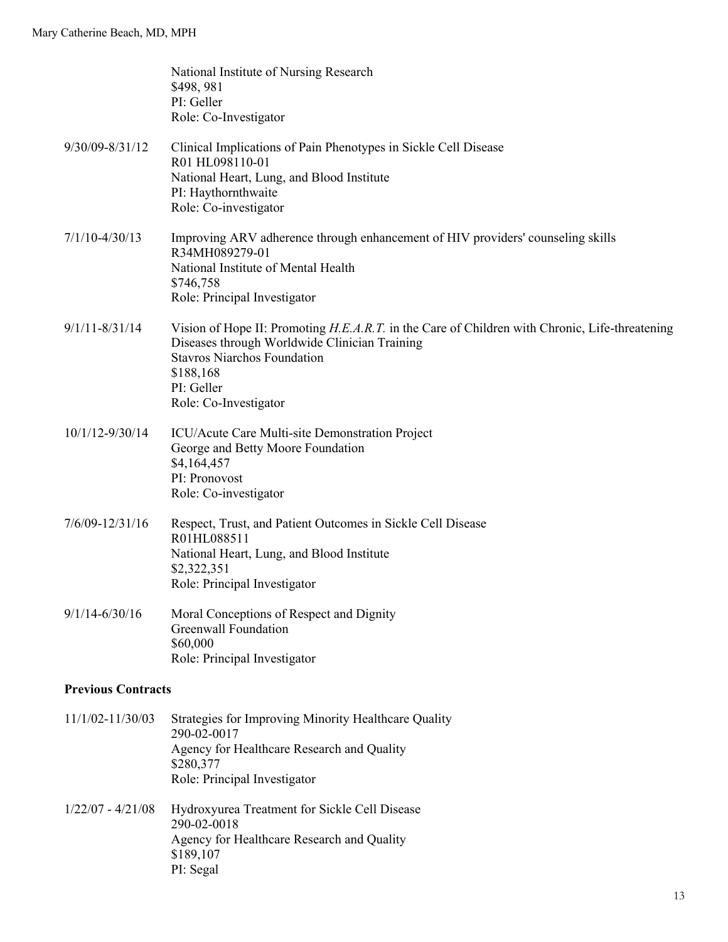|                     | National Institute of Nursing Research<br>\$498, 981<br>PI: Geller<br>Role: Co-Investigator                                                                                                                                               |  |  |
|---------------------|-------------------------------------------------------------------------------------------------------------------------------------------------------------------------------------------------------------------------------------------|--|--|
| 9/30/09-8/31/12     | Clinical Implications of Pain Phenotypes in Sickle Cell Disease<br>R01 HL098110-01<br>National Heart, Lung, and Blood Institute<br>PI: Haythornthwaite<br>Role: Co-investigator                                                           |  |  |
| $7/1/10 - 4/30/13$  | Improving ARV adherence through enhancement of HIV providers' counseling skills<br>R34MH089279-01<br>National Institute of Mental Health<br>\$746,758<br>Role: Principal Investigator                                                     |  |  |
| $9/1/11 - 8/31/14$  | Vision of Hope II: Promoting H.E.A.R.T. in the Care of Children with Chronic, Life-threatening<br>Diseases through Worldwide Clinician Training<br><b>Stavros Niarchos Foundation</b><br>\$188,168<br>PI: Geller<br>Role: Co-Investigator |  |  |
| 10/1/12-9/30/14     | ICU/Acute Care Multi-site Demonstration Project<br>George and Betty Moore Foundation<br>\$4,164,457<br>PI: Pronovost<br>Role: Co-investigator                                                                                             |  |  |
| $7/6/09 - 12/31/16$ | Respect, Trust, and Patient Outcomes in Sickle Cell Disease<br>R01HL088511<br>National Heart, Lung, and Blood Institute<br>\$2,322,351<br>Role: Principal Investigator                                                                    |  |  |
| $9/1/14 - 6/30/16$  | Moral Conceptions of Respect and Dignity<br><b>Greenwall Foundation</b><br>\$60,000<br>Role: Principal Investigator                                                                                                                       |  |  |
|                     | <b>Previous Contracts</b>                                                                                                                                                                                                                 |  |  |
| 11/1/02-11/30/03    | Strategies for Improving Minority Healthcare Quality<br>290-02-0017<br>Agency for Healthcare Research and Quality<br>\$280,377<br>Role: Principal Investigator                                                                            |  |  |
| $1/22/07 - 4/21/08$ | Hydroxyurea Treatment for Sickle Cell Disease<br>290-02-0018<br>Agency for Healthcare Research and Quality<br>\$189,107<br>PI: Segal                                                                                                      |  |  |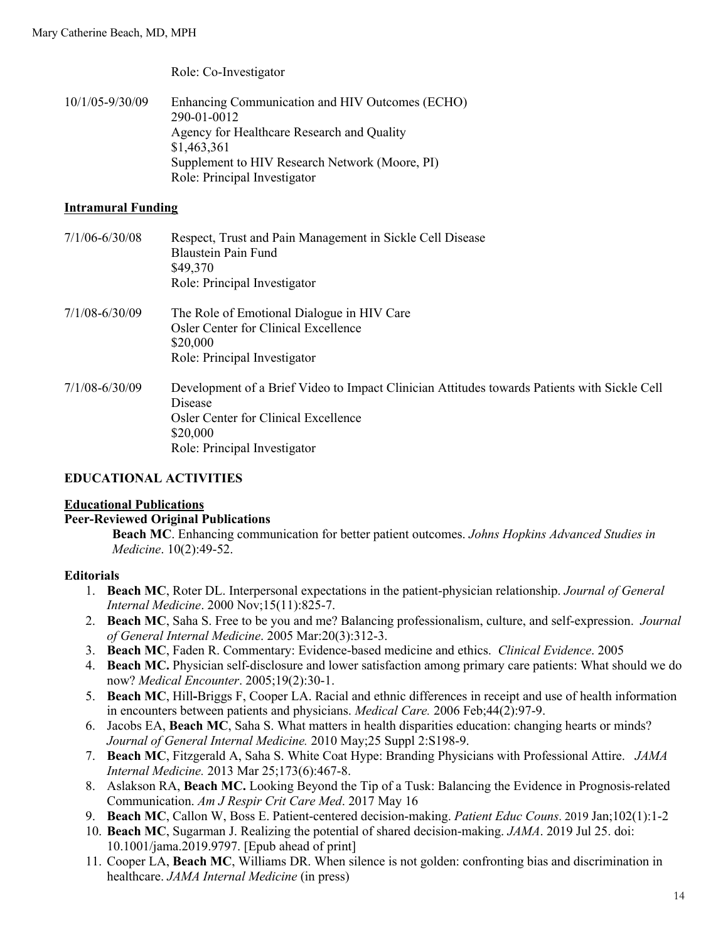Role: Co-Investigator

10/1/05-9/30/09 Enhancing Communication and HIV Outcomes (ECHO) 290-01-0012 Agency for Healthcare Research and Quality \$1,463,361 Supplement to HIV Research Network (Moore, PI) Role: Principal Investigator

#### **Intramural Funding**

| $7/1/06 - 6/30/08$ | Respect, Trust and Pain Management in Sickle Cell Disease<br><b>Blaustein Pain Fund</b><br>\$49,370<br>Role: Principal Investigator                                                         |
|--------------------|---------------------------------------------------------------------------------------------------------------------------------------------------------------------------------------------|
| 7/1/08-6/30/09     | The Role of Emotional Dialogue in HIV Care<br>Osler Center for Clinical Excellence<br>\$20,000<br>Role: Principal Investigator                                                              |
| 7/1/08-6/30/09     | Development of a Brief Video to Impact Clinician Attitudes towards Patients with Sickle Cell<br>Disease<br>Osler Center for Clinical Excellence<br>\$20,000<br>Role: Principal Investigator |

## **EDUCATIONAL ACTIVITIES**

#### **Educational Publications**

#### **Peer-Reviewed Original Publications**

**Beach MC**. Enhancing communication for better patient outcomes. *Johns Hopkins Advanced Studies in Medicine*. 10(2):49-52.

#### **Editorials**

- 1. **Beach MC**, Roter DL. Interpersonal expectations in the patient-physician relationship. *Journal of General Internal Medicine*. 2000 Nov;15(11):825-7.
- 2. **Beach MC**, Saha S. Free to be you and me? Balancing professionalism, culture, and self-expression. *Journal of General Internal Medicine*. 2005 Mar:20(3):312-3.
- 3. **Beach MC**, Faden R. Commentary: Evidence-based medicine and ethics. *Clinical Evidence*. 2005
- 4. **Beach MC.** Physician self-disclosure and lower satisfaction among primary care patients: What should we do now? *Medical Encounter*. 2005;19(2):30-1.
- 5. **Beach MC**, Hill**-**Briggs F, Cooper LA. Racial and ethnic differences in receipt and use of health information in encounters between patients and physicians. *Medical Care.* 2006 Feb;44(2):97-9.
- 6. Jacobs EA, **Beach MC**, Saha S. What matters in health disparities education: changing hearts or minds? *Journal of General Internal Medicine.* 2010 May;25 Suppl 2:S198-9.
- 7. **Beach MC**, Fitzgerald A, Saha S. White Coat Hype: Branding Physicians with Professional Attire. *JAMA Internal Medicine.* 2013 Mar 25;173(6):467-8.
- 8. Aslakson RA, **Beach MC.** Looking Beyond the Tip of a Tusk: Balancing the Evidence in Prognosis-related Communication. *Am J Respir Crit Care Med*. 2017 May 16
- 9. **Beach MC**, Callon W, Boss E. Patient-centered decision-making. *Patient Educ Couns*. 2019 Jan;102(1):1-2
- 10. **Beach MC**, Sugarman J. Realizing the potential of shared decision-making. *JAMA*. 2019 Jul 25. doi: 10.1001/jama.2019.9797. [Epub ahead of print]
- 11. Cooper LA, **Beach MC**, Williams DR. When silence is not golden: confronting bias and discrimination in healthcare. *JAMA Internal Medicine* (in press)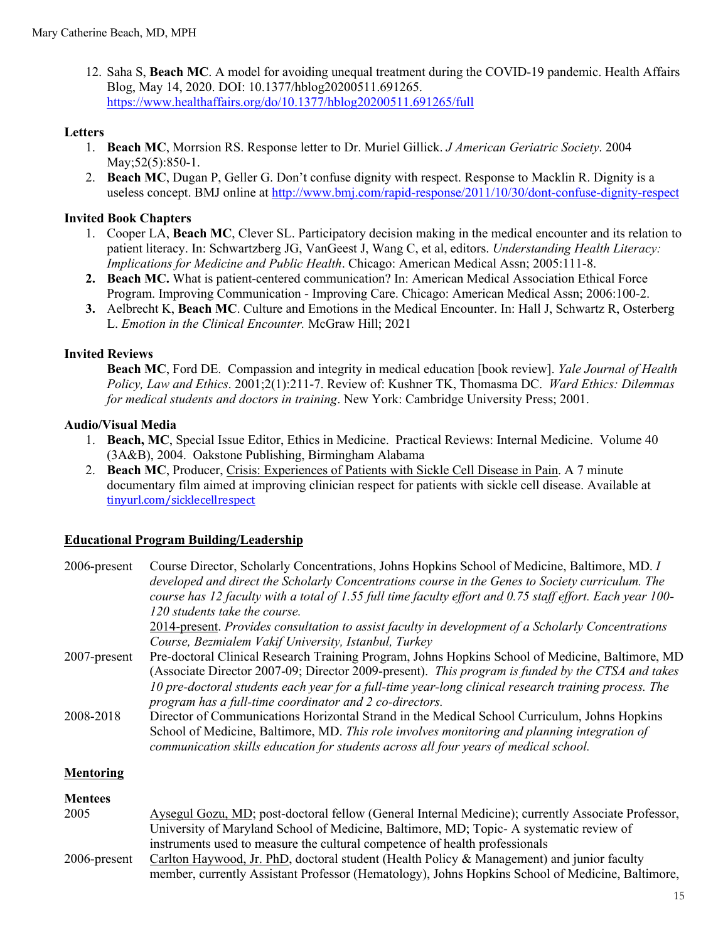12. Saha S, **Beach MC**. A model for avoiding unequal treatment during the COVID-19 pandemic. Health Affairs Blog, May 14, 2020. DOI: 10.1377/hblog20200511.691265. https://www.healthaffairs.org/do/10.1377/hblog20200511.691265/full

## **Letters**

- 1. **Beach MC**, Morrsion RS. Response letter to Dr. Muriel Gillick. *J American Geriatric Society*. 2004 May; 52(5): 850-1.
- 2. **Beach MC**, Dugan P, Geller G. Don't confuse dignity with respect. Response to Macklin R. Dignity is a useless concept. BMJ online at http://www.bmj.com/rapid-response/2011/10/30/dont-confuse-dignity-respect

## **Invited Book Chapters**

- 1. Cooper LA, **Beach MC**, Clever SL. Participatory decision making in the medical encounter and its relation to patient literacy. In: Schwartzberg JG, VanGeest J, Wang C, et al, editors. *Understanding Health Literacy: Implications for Medicine and Public Health*. Chicago: American Medical Assn; 2005:111-8.
- **2. Beach MC.** What is patient-centered communication? In: American Medical Association Ethical Force Program. Improving Communication - Improving Care. Chicago: American Medical Assn; 2006:100-2.
- **3.** Aelbrecht K, **Beach MC**. Culture and Emotions in the Medical Encounter. In: Hall J, Schwartz R, Osterberg L. *Emotion in the Clinical Encounter.* McGraw Hill; 2021

## **Invited Reviews**

**Beach MC**, Ford DE. Compassion and integrity in medical education [book review]. *Yale Journal of Health Policy, Law and Ethics*. 2001;2(1):211-7. Review of: Kushner TK, Thomasma DC. *Ward Ethics: Dilemmas for medical students and doctors in training*. New York: Cambridge University Press; 2001.

## **Audio/Visual Media**

- 1. **Beach, MC**, Special Issue Editor, Ethics in Medicine. Practical Reviews: Internal Medicine. Volume 40 (3A&B), 2004. Oakstone Publishing, Birmingham Alabama
- 2. **Beach MC**, Producer, Crisis: Experiences of Patients with Sickle Cell Disease in Pain. A 7 minute documentary film aimed at improving clinician respect for patients with sickle cell disease. Available at tinyurl.com/sicklecellrespect

## **Educational Program Building/Leadership**

| 2006-present     | Course Director, Scholarly Concentrations, Johns Hopkins School of Medicine, Baltimore, MD. I<br>developed and direct the Scholarly Concentrations course in the Genes to Society curriculum. The<br>course has 12 faculty with a total of 1.55 full time faculty effort and 0.75 staff effort. Each year 100-<br>120 students take the course.<br>2014-present. Provides consultation to assist faculty in development of a Scholarly Concentrations<br>Course, Bezmialem Vakif University, Istanbul, Turkey |
|------------------|---------------------------------------------------------------------------------------------------------------------------------------------------------------------------------------------------------------------------------------------------------------------------------------------------------------------------------------------------------------------------------------------------------------------------------------------------------------------------------------------------------------|
| 2007-present     | Pre-doctoral Clinical Research Training Program, Johns Hopkins School of Medicine, Baltimore, MD<br>(Associate Director 2007-09; Director 2009-present). This program is funded by the CTSA and takes<br>10 pre-doctoral students each year for a full-time year-long clinical research training process. The<br>program has a full-time coordinator and 2 co-directors.                                                                                                                                      |
| 2008-2018        | Director of Communications Horizontal Strand in the Medical School Curriculum, Johns Hopkins<br>School of Medicine, Baltimore, MD. This role involves monitoring and planning integration of<br>communication skills education for students across all four years of medical school.                                                                                                                                                                                                                          |
| <b>Mentoring</b> |                                                                                                                                                                                                                                                                                                                                                                                                                                                                                                               |
| <b>Mentees</b>   |                                                                                                                                                                                                                                                                                                                                                                                                                                                                                                               |

| 2005            | Aysegul Gozu, MD; post-doctoral fellow (General Internal Medicine); currently Associate Professor, |
|-----------------|----------------------------------------------------------------------------------------------------|
|                 | University of Maryland School of Medicine, Baltimore, MD; Topic-A systematic review of             |
|                 | instruments used to measure the cultural competence of health professionals                        |
| $2006$ -present | Carlton Haywood, Jr. PhD, doctoral student (Health Policy & Management) and junior faculty         |
|                 | member, currently Assistant Professor (Hematology), Johns Hopkins School of Medicine, Baltimore,   |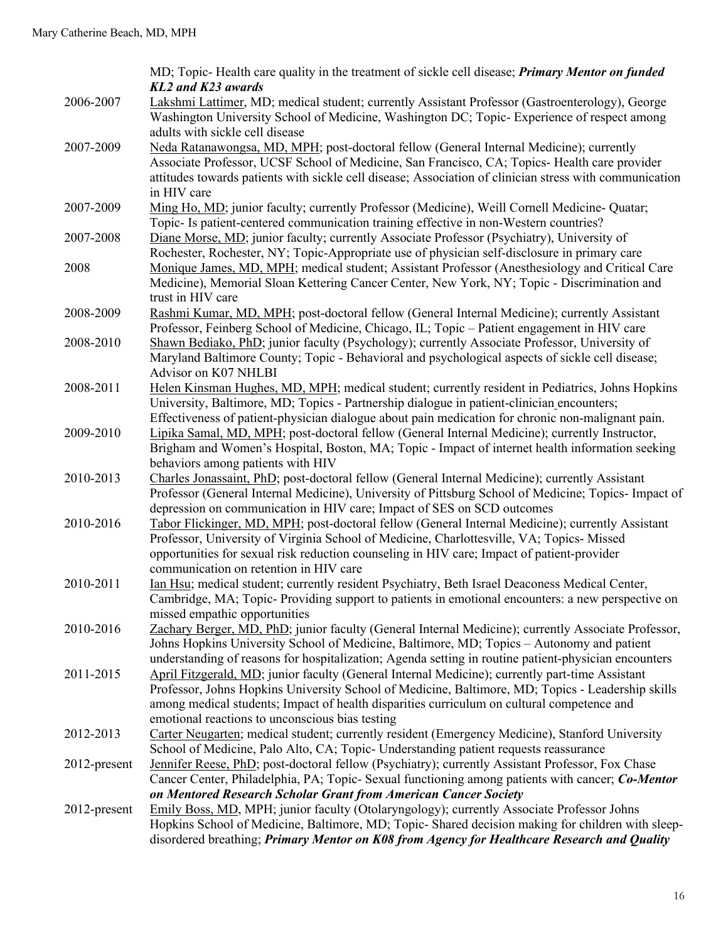|              | MD; Topic- Health care quality in the treatment of sickle cell disease; <i>Primary Mentor on funded</i><br><b>KL2</b> and <b>K23</b> awards                                                                                                                                                                                                                      |
|--------------|------------------------------------------------------------------------------------------------------------------------------------------------------------------------------------------------------------------------------------------------------------------------------------------------------------------------------------------------------------------|
| 2006-2007    | Lakshmi Lattimer, MD; medical student; currently Assistant Professor (Gastroenterology), George<br>Washington University School of Medicine, Washington DC; Topic- Experience of respect among<br>adults with sickle cell disease                                                                                                                                |
| 2007-2009    | Neda Ratanawongsa, MD, MPH; post-doctoral fellow (General Internal Medicine); currently<br>Associate Professor, UCSF School of Medicine, San Francisco, CA; Topics- Health care provider<br>attitudes towards patients with sickle cell disease; Association of clinician stress with communication<br>in HIV care                                               |
| 2007-2009    | Ming Ho, MD; junior faculty; currently Professor (Medicine), Weill Cornell Medicine- Quatar;<br>Topic- Is patient-centered communication training effective in non-Western countries?                                                                                                                                                                            |
| 2007-2008    | Diane Morse, MD; junior faculty; currently Associate Professor (Psychiatry), University of<br>Rochester, Rochester, NY; Topic-Appropriate use of physician self-disclosure in primary care                                                                                                                                                                       |
| 2008         | Monique James, MD, MPH; medical student; Assistant Professor (Anesthesiology and Critical Care<br>Medicine), Memorial Sloan Kettering Cancer Center, New York, NY; Topic - Discrimination and<br>trust in HIV care                                                                                                                                               |
| 2008-2009    | Rashmi Kumar, MD, MPH; post-doctoral fellow (General Internal Medicine); currently Assistant<br>Professor, Feinberg School of Medicine, Chicago, IL; Topic - Patient engagement in HIV care                                                                                                                                                                      |
| 2008-2010    | Shawn Bediako, PhD; junior faculty (Psychology); currently Associate Professor, University of<br>Maryland Baltimore County; Topic - Behavioral and psychological aspects of sickle cell disease;<br>Advisor on K07 NHLBI                                                                                                                                         |
| 2008-2011    | Helen Kinsman Hughes, MD, MPH; medical student; currently resident in Pediatrics, Johns Hopkins<br>University, Baltimore, MD; Topics - Partnership dialogue in patient-clinician encounters;<br>Effectiveness of patient-physician dialogue about pain medication for chronic non-malignant pain.                                                                |
| 2009-2010    | Lipika Samal, MD, MPH; post-doctoral fellow (General Internal Medicine); currently Instructor,<br>Brigham and Women's Hospital, Boston, MA; Topic - Impact of internet health information seeking<br>behaviors among patients with HIV                                                                                                                           |
| 2010-2013    | Charles Jonassaint, PhD; post-doctoral fellow (General Internal Medicine); currently Assistant<br>Professor (General Internal Medicine), University of Pittsburg School of Medicine; Topics- Impact of<br>depression on communication in HIV care; Impact of SES on SCD outcomes                                                                                 |
| 2010-2016    | Tabor Flickinger, MD, MPH; post-doctoral fellow (General Internal Medicine); currently Assistant<br>Professor, University of Virginia School of Medicine, Charlottesville, VA; Topics-Missed<br>opportunities for sexual risk reduction counseling in HIV care; Impact of patient-provider<br>communication on retention in HIV care                             |
| 2010-2011    | Ian Hsu; medical student; currently resident Psychiatry, Beth Israel Deaconess Medical Center,<br>Cambridge, MA; Topic-Providing support to patients in emotional encounters: a new perspective on<br>missed empathic opportunities                                                                                                                              |
| 2010-2016    | Zachary Berger, MD, PhD; junior faculty (General Internal Medicine); currently Associate Professor,<br>Johns Hopkins University School of Medicine, Baltimore, MD; Topics - Autonomy and patient<br>understanding of reasons for hospitalization; Agenda setting in routine patient-physician encounters                                                         |
| 2011-2015    | April Fitzgerald, MD; junior faculty (General Internal Medicine); currently part-time Assistant<br>Professor, Johns Hopkins University School of Medicine, Baltimore, MD; Topics - Leadership skills<br>among medical students; Impact of health disparities curriculum on cultural competence and<br>emotional reactions to unconscious bias testing            |
| 2012-2013    | Carter Neugarten; medical student; currently resident (Emergency Medicine), Stanford University<br>School of Medicine, Palo Alto, CA; Topic- Understanding patient requests reassurance                                                                                                                                                                          |
| 2012-present | Jennifer Reese, PhD; post-doctoral fellow (Psychiatry); currently Assistant Professor, Fox Chase<br>Cancer Center, Philadelphia, PA; Topic- Sexual functioning among patients with cancer; Co-Mentor                                                                                                                                                             |
| 2012-present | on Mentored Research Scholar Grant from American Cancer Society<br>Emily Boss, MD, MPH; junior faculty (Otolaryngology); currently Associate Professor Johns<br>Hopkins School of Medicine, Baltimore, MD; Topic- Shared decision making for children with sleep-<br>disordered breathing; Primary Mentor on K08 from Agency for Healthcare Research and Quality |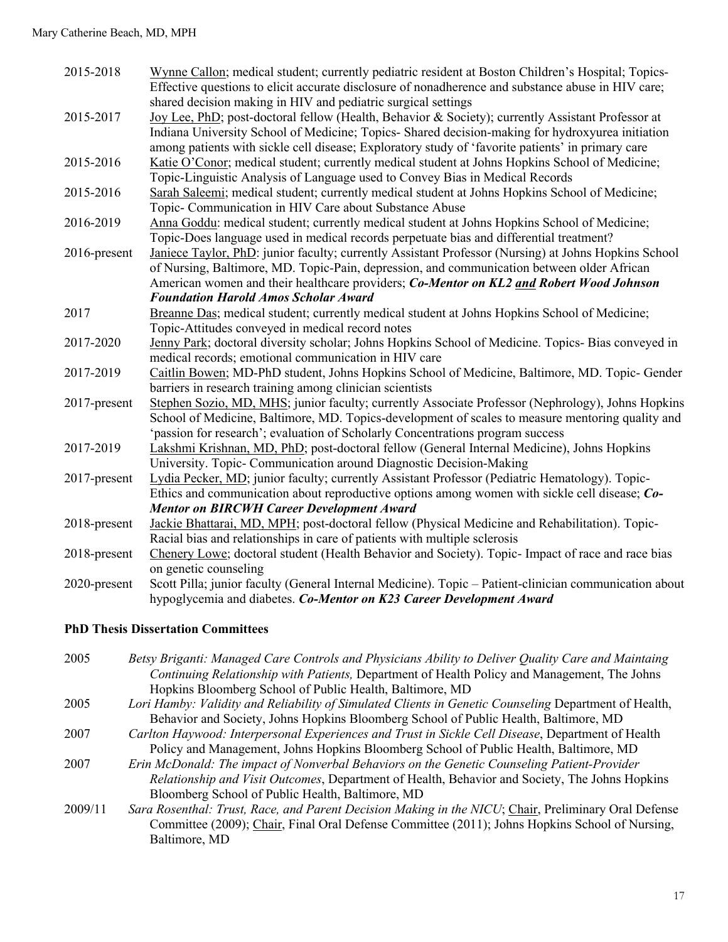| 2015-2018    | Wynne Callon; medical student; currently pediatric resident at Boston Children's Hospital; Topics-<br>Effective questions to elicit accurate disclosure of nonadherence and substance abuse in HIV care;<br>shared decision making in HIV and pediatric surgical settings                                  |
|--------------|------------------------------------------------------------------------------------------------------------------------------------------------------------------------------------------------------------------------------------------------------------------------------------------------------------|
| 2015-2017    | Joy Lee, PhD; post-doctoral fellow (Health, Behavior & Society); currently Assistant Professor at<br>Indiana University School of Medicine; Topics- Shared decision-making for hydroxyurea initiation<br>among patients with sickle cell disease; Exploratory study of 'favorite patients' in primary care |
| 2015-2016    | Katie O'Conor; medical student; currently medical student at Johns Hopkins School of Medicine;<br>Topic-Linguistic Analysis of Language used to Convey Bias in Medical Records                                                                                                                             |
| 2015-2016    | Sarah Saleemi; medical student; currently medical student at Johns Hopkins School of Medicine;<br>Topic- Communication in HIV Care about Substance Abuse                                                                                                                                                   |
| 2016-2019    | Anna Goddu: medical student; currently medical student at Johns Hopkins School of Medicine;<br>Topic-Does language used in medical records perpetuate bias and differential treatment?                                                                                                                     |
| 2016-present | Janiece Taylor, PhD: junior faculty; currently Assistant Professor (Nursing) at Johns Hopkins School<br>of Nursing, Baltimore, MD. Topic-Pain, depression, and communication between older African<br>American women and their healthcare providers; Co-Mentor on KL2 and Robert Wood Johnson              |
|              | <b>Foundation Harold Amos Scholar Award</b>                                                                                                                                                                                                                                                                |
| 2017         | Breanne Das; medical student; currently medical student at Johns Hopkins School of Medicine;<br>Topic-Attitudes conveyed in medical record notes                                                                                                                                                           |
| 2017-2020    | Jenny Park; doctoral diversity scholar; Johns Hopkins School of Medicine. Topics- Bias conveyed in<br>medical records; emotional communication in HIV care                                                                                                                                                 |
| 2017-2019    | Caitlin Bowen; MD-PhD student, Johns Hopkins School of Medicine, Baltimore, MD. Topic- Gender<br>barriers in research training among clinician scientists                                                                                                                                                  |
| 2017-present | Stephen Sozio, MD, MHS; junior faculty; currently Associate Professor (Nephrology), Johns Hopkins<br>School of Medicine, Baltimore, MD. Topics-development of scales to measure mentoring quality and<br>'passion for research'; evaluation of Scholarly Concentrations program success                    |
| 2017-2019    | Lakshmi Krishnan, MD, PhD; post-doctoral fellow (General Internal Medicine), Johns Hopkins<br>University. Topic- Communication around Diagnostic Decision-Making                                                                                                                                           |
| 2017-present | Lydia Pecker, MD; junior faculty; currently Assistant Professor (Pediatric Hematology). Topic-<br>Ethics and communication about reproductive options among women with sickle cell disease; Co-<br><b>Mentor on BIRCWH Career Development Award</b>                                                        |
| 2018-present | Jackie Bhattarai, MD, MPH; post-doctoral fellow (Physical Medicine and Rehabilitation). Topic-<br>Racial bias and relationships in care of patients with multiple sclerosis                                                                                                                                |
| 2018-present | Chenery Lowe; doctoral student (Health Behavior and Society). Topic- Impact of race and race bias<br>on genetic counseling                                                                                                                                                                                 |
| 2020-present | Scott Pilla; junior faculty (General Internal Medicine). Topic - Patient-clinician communication about<br>hypoglycemia and diabetes. Co-Mentor on K23 Career Development Award                                                                                                                             |

## **PhD Thesis Dissertation Committees**

| 2005    | Betsy Briganti: Managed Care Controls and Physicians Ability to Deliver Quality Care and Maintaing    |
|---------|-------------------------------------------------------------------------------------------------------|
|         | Continuing Relationship with Patients, Department of Health Policy and Management, The Johns          |
|         | Hopkins Bloomberg School of Public Health, Baltimore, MD                                              |
| 2005    | Lori Hamby: Validity and Reliability of Simulated Clients in Genetic Counseling Department of Health, |
|         | Behavior and Society, Johns Hopkins Bloomberg School of Public Health, Baltimore, MD                  |
| 2007    | Carlton Haywood: Interpersonal Experiences and Trust in Sickle Cell Disease, Department of Health     |
|         | Policy and Management, Johns Hopkins Bloomberg School of Public Health, Baltimore, MD                 |
| 2007    | Erin McDonald: The impact of Nonverbal Behaviors on the Genetic Counseling Patient-Provider           |
|         | Relationship and Visit Outcomes, Department of Health, Behavior and Society, The Johns Hopkins        |
|         | Bloomberg School of Public Health, Baltimore, MD                                                      |
| 2009/11 | Sara Rosenthal: Trust, Race, and Parent Decision Making in the NICU; Chair, Preliminary Oral Defense  |
|         | Committee (2009); Chair, Final Oral Defense Committee (2011); Johns Hopkins School of Nursing,        |
|         | Baltimore, MD                                                                                         |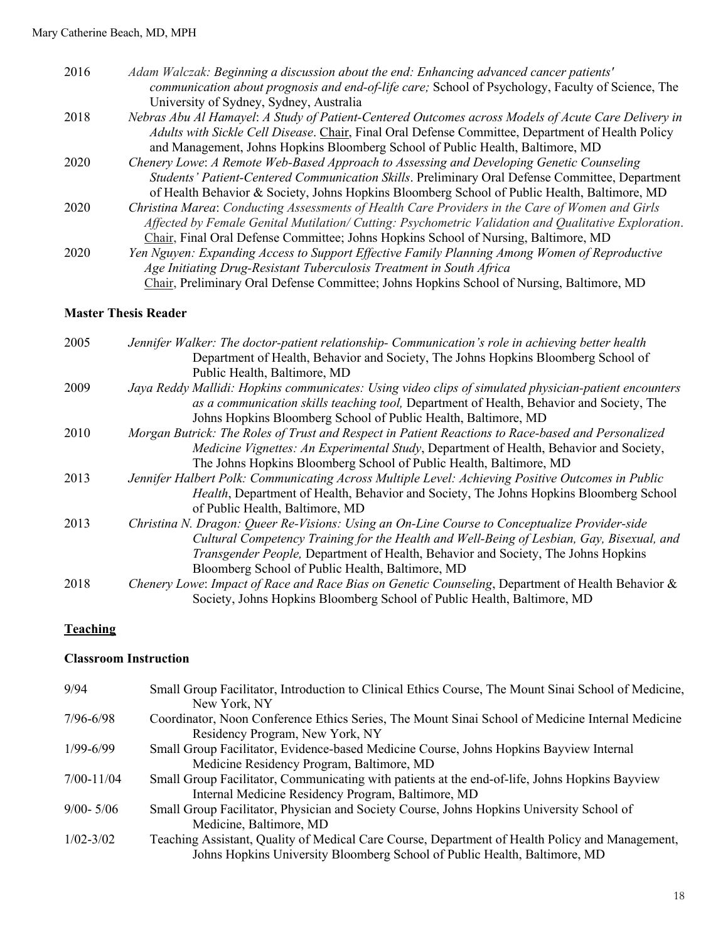| 2016 | Adam Walczak: Beginning a discussion about the end: Enhancing advanced cancer patients'             |
|------|-----------------------------------------------------------------------------------------------------|
|      | communication about prognosis and end-of-life care; School of Psychology, Faculty of Science, The   |
|      | University of Sydney, Sydney, Australia                                                             |
| 2018 | Nebras Abu Al Hamayel: A Study of Patient-Centered Outcomes across Models of Acute Care Delivery in |
|      | Adults with Sickle Cell Disease. Chair, Final Oral Defense Committee, Department of Health Policy   |
|      | and Management, Johns Hopkins Bloomberg School of Public Health, Baltimore, MD                      |
| 2020 | Chenery Lowe: A Remote Web-Based Approach to Assessing and Developing Genetic Counseling            |
|      | Students' Patient-Centered Communication Skills. Preliminary Oral Defense Committee, Department     |
|      | of Health Behavior & Society, Johns Hopkins Bloomberg School of Public Health, Baltimore, MD        |
| 2020 | Christina Marea: Conducting Assessments of Health Care Providers in the Care of Women and Girls     |
|      | Affected by Female Genital Mutilation/Cutting: Psychometric Validation and Qualitative Exploration. |
|      | Chair, Final Oral Defense Committee; Johns Hopkins School of Nursing, Baltimore, MD                 |
| 2020 | Yen Nguyen: Expanding Access to Support Effective Family Planning Among Women of Reproductive       |
|      | Age Initiating Drug-Resistant Tuberculosis Treatment in South Africa                                |
|      | Chair, Preliminary Oral Defense Committee; Johns Hopkins School of Nursing, Baltimore, MD           |

# **Master Thesis Reader**

| 2005 | Jennifer Walker: The doctor-patient relationship- Communication's role in achieving better health     |
|------|-------------------------------------------------------------------------------------------------------|
|      | Department of Health, Behavior and Society, The Johns Hopkins Bloomberg School of                     |
|      | Public Health, Baltimore, MD                                                                          |
| 2009 | Jaya Reddy Mallidi: Hopkins communicates: Using video clips of simulated physician-patient encounters |
|      | as a communication skills teaching tool, Department of Health, Behavior and Society, The              |
|      | Johns Hopkins Bloomberg School of Public Health, Baltimore, MD                                        |
| 2010 | Morgan Butrick: The Roles of Trust and Respect in Patient Reactions to Race-based and Personalized    |
|      | Medicine Vignettes: An Experimental Study, Department of Health, Behavior and Society,                |
|      | The Johns Hopkins Bloomberg School of Public Health, Baltimore, MD                                    |
| 2013 | Jennifer Halbert Polk: Communicating Across Multiple Level: Achieving Positive Outcomes in Public     |
|      | Health, Department of Health, Behavior and Society, The Johns Hopkins Bloomberg School                |
|      | of Public Health, Baltimore, MD                                                                       |
| 2013 | Christina N. Dragon: Queer Re-Visions: Using an On-Line Course to Conceptualize Provider-side         |
|      | Cultural Competency Training for the Health and Well-Being of Lesbian, Gay, Bisexual, and             |
|      | Transgender People, Department of Health, Behavior and Society, The Johns Hopkins                     |
|      | Bloomberg School of Public Health, Baltimore, MD                                                      |
| 2018 | Chenery Lowe: Impact of Race and Race Bias on Genetic Counseling, Department of Health Behavior &     |
|      | Society, Johns Hopkins Bloomberg School of Public Health, Baltimore, MD                               |

## **Teaching**

#### **Classroom Instruction**

| 9/94           | Small Group Facilitator, Introduction to Clinical Ethics Course, The Mount Sinai School of Medicine,<br>New York, NY                                                         |
|----------------|------------------------------------------------------------------------------------------------------------------------------------------------------------------------------|
| $7/96 - 6/98$  | Coordinator, Noon Conference Ethics Series, The Mount Sinai School of Medicine Internal Medicine<br>Residency Program, New York, NY                                          |
| $1/99 - 6/99$  | Small Group Facilitator, Evidence-based Medicine Course, Johns Hopkins Bayview Internal<br>Medicine Residency Program, Baltimore, MD                                         |
| $7/00 - 11/04$ | Small Group Facilitator, Communicating with patients at the end-of-life, Johns Hopkins Bayview<br>Internal Medicine Residency Program, Baltimore, MD                         |
| $9/00 - 5/06$  | Small Group Facilitator, Physician and Society Course, Johns Hopkins University School of<br>Medicine, Baltimore, MD                                                         |
| $1/02 - 3/02$  | Teaching Assistant, Quality of Medical Care Course, Department of Health Policy and Management,<br>Johns Hopkins University Bloomberg School of Public Health, Baltimore, MD |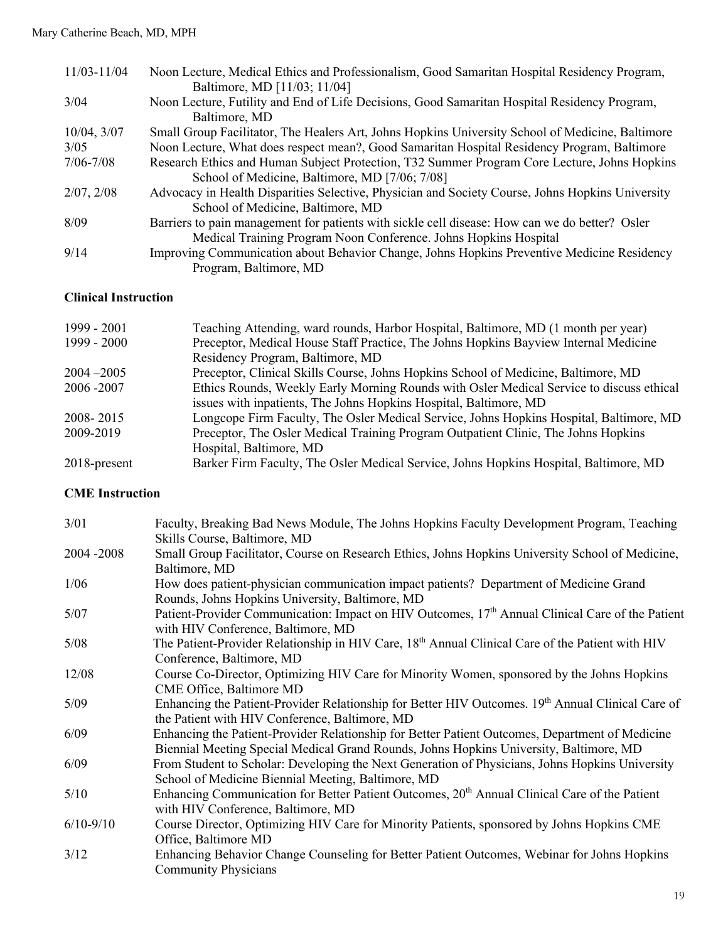| $11/03 - 11/04$  | Noon Lecture, Medical Ethics and Professionalism, Good Samaritan Hospital Residency Program,<br>Baltimore, MD [11/03; 11/04]          |
|------------------|---------------------------------------------------------------------------------------------------------------------------------------|
| 3/04             | Noon Lecture, Futility and End of Life Decisions, Good Samaritan Hospital Residency Program,<br>Baltimore, MD                         |
| $10/04$ , $3/07$ | Small Group Facilitator, The Healers Art, Johns Hopkins University School of Medicine, Baltimore                                      |
| 3/05             | Noon Lecture, What does respect mean?, Good Samaritan Hospital Residency Program, Baltimore                                           |
| $7/06 - 7/08$    | Research Ethics and Human Subject Protection, T32 Summer Program Core Lecture, Johns Hopkins                                          |
|                  | School of Medicine, Baltimore, MD [7/06; 7/08]                                                                                        |
| 2/07, 2/08       | Advocacy in Health Disparities Selective, Physician and Society Course, Johns Hopkins University<br>School of Medicine, Baltimore, MD |
| 8/09             | Barriers to pain management for patients with sickle cell disease: How can we do better? Osler                                        |
|                  | Medical Training Program Noon Conference. Johns Hopkins Hospital                                                                      |
| 9/14             | Improving Communication about Behavior Change, Johns Hopkins Preventive Medicine Residency<br>Program, Baltimore, MD                  |

## **Clinical Instruction**

| 1999 - 2001     | Teaching Attending, ward rounds, Harbor Hospital, Baltimore, MD (1 month per year)       |
|-----------------|------------------------------------------------------------------------------------------|
| $1999 - 2000$   | Preceptor, Medical House Staff Practice, The Johns Hopkins Bayview Internal Medicine     |
|                 | Residency Program, Baltimore, MD                                                         |
| $2004 - 2005$   | Preceptor, Clinical Skills Course, Johns Hopkins School of Medicine, Baltimore, MD       |
| 2006-2007       | Ethics Rounds, Weekly Early Morning Rounds with Osler Medical Service to discuss ethical |
|                 | issues with inpatients, The Johns Hopkins Hospital, Baltimore, MD                        |
| 2008-2015       | Longcope Firm Faculty, The Osler Medical Service, Johns Hopkins Hospital, Baltimore, MD  |
| 2009-2019       | Preceptor, The Osler Medical Training Program Outpatient Clinic, The Johns Hopkins       |
|                 | Hospital, Baltimore, MD                                                                  |
| $2018$ -present | Barker Firm Faculty, The Osler Medical Service, Johns Hopkins Hospital, Baltimore, MD    |

## **CME Instruction**

| 3/01          | Faculty, Breaking Bad News Module, The Johns Hopkins Faculty Development Program, Teaching                   |
|---------------|--------------------------------------------------------------------------------------------------------------|
|               | Skills Course, Baltimore, MD                                                                                 |
| 2004 - 2008   | Small Group Facilitator, Course on Research Ethics, Johns Hopkins University School of Medicine,             |
|               | Baltimore, MD                                                                                                |
| 1/06          | How does patient-physician communication impact patients? Department of Medicine Grand                       |
|               | Rounds, Johns Hopkins University, Baltimore, MD                                                              |
| 5/07          | Patient-Provider Communication: Impact on HIV Outcomes, 17 <sup>th</sup> Annual Clinical Care of the Patient |
|               | with HIV Conference, Baltimore, MD                                                                           |
| 5/08          | The Patient-Provider Relationship in HIV Care, 18 <sup>th</sup> Annual Clinical Care of the Patient with HIV |
|               | Conference, Baltimore, MD                                                                                    |
| 12/08         | Course Co-Director, Optimizing HIV Care for Minority Women, sponsored by the Johns Hopkins                   |
|               | CME Office, Baltimore MD                                                                                     |
| 5/09          | Enhancing the Patient-Provider Relationship for Better HIV Outcomes. $19th$ Annual Clinical Care of          |
|               | the Patient with HIV Conference, Baltimore, MD                                                               |
| 6/09          | Enhancing the Patient-Provider Relationship for Better Patient Outcomes, Department of Medicine              |
|               | Biennial Meeting Special Medical Grand Rounds, Johns Hopkins University, Baltimore, MD                       |
| 6/09          | From Student to Scholar: Developing the Next Generation of Physicians, Johns Hopkins University              |
|               | School of Medicine Biennial Meeting, Baltimore, MD                                                           |
| 5/10          | Enhancing Communication for Better Patient Outcomes, 20 <sup>th</sup> Annual Clinical Care of the Patient    |
|               | with HIV Conference, Baltimore, MD                                                                           |
| $6/10 - 9/10$ | Course Director, Optimizing HIV Care for Minority Patients, sponsored by Johns Hopkins CME                   |
|               | Office, Baltimore MD                                                                                         |
| 3/12          | Enhancing Behavior Change Counseling for Better Patient Outcomes, Webinar for Johns Hopkins                  |
|               | <b>Community Physicians</b>                                                                                  |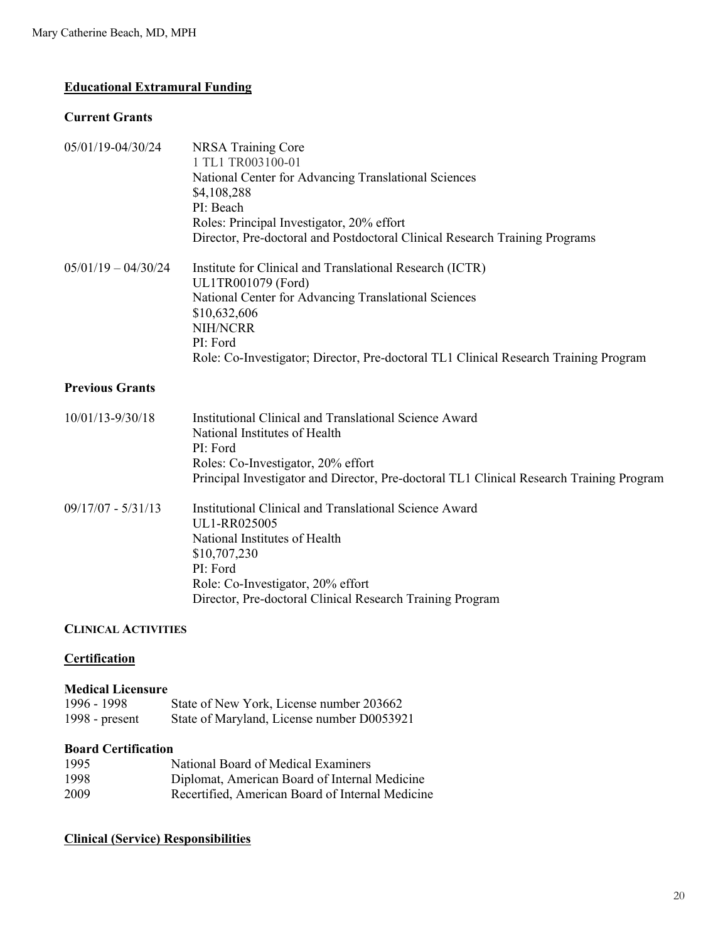## **Educational Extramural Funding**

#### **Current Grants**

| NRSA Training Core<br>1 TL1 TR003100-01<br>National Center for Advancing Translational Sciences<br>\$4,108,288<br>PI: Beach<br>Roles: Principal Investigator, 20% effort<br>Director, Pre-doctoral and Postdoctoral Clinical Research Training Programs                |  |
|------------------------------------------------------------------------------------------------------------------------------------------------------------------------------------------------------------------------------------------------------------------------|--|
| Institute for Clinical and Translational Research (ICTR)<br>UL1TR001079 (Ford)<br>National Center for Advancing Translational Sciences<br>\$10,632,606<br>NIH/NCRR<br>PI: Ford<br>Role: Co-Investigator; Director, Pre-doctoral TL1 Clinical Research Training Program |  |
|                                                                                                                                                                                                                                                                        |  |
| Institutional Clinical and Translational Science Award<br>National Institutes of Health<br>PI: Ford<br>Roles: Co-Investigator, 20% effort<br>Principal Investigator and Director, Pre-doctoral TL1 Clinical Research Training Program                                  |  |
| Institutional Clinical and Translational Science Award<br>UL1-RR025005<br>National Institutes of Health<br>\$10,707,230<br>PI: Ford<br>Role: Co-Investigator, 20% effort<br>Director, Pre-doctoral Clinical Research Training Program                                  |  |
|                                                                                                                                                                                                                                                                        |  |

## **CLINICAL ACTIVITIES**

## **Certification**

#### **Medical Licensure**

| 1996 - 1998      | State of New York, License number 203662   |
|------------------|--------------------------------------------|
| 1998 - $present$ | State of Maryland, License number D0053921 |

## **Board Certification**

| 1995 | National Board of Medical Examiners              |
|------|--------------------------------------------------|
| 1998 | Diplomat, American Board of Internal Medicine    |
| 2009 | Recertified, American Board of Internal Medicine |

## **Clinical (Service) Responsibilities**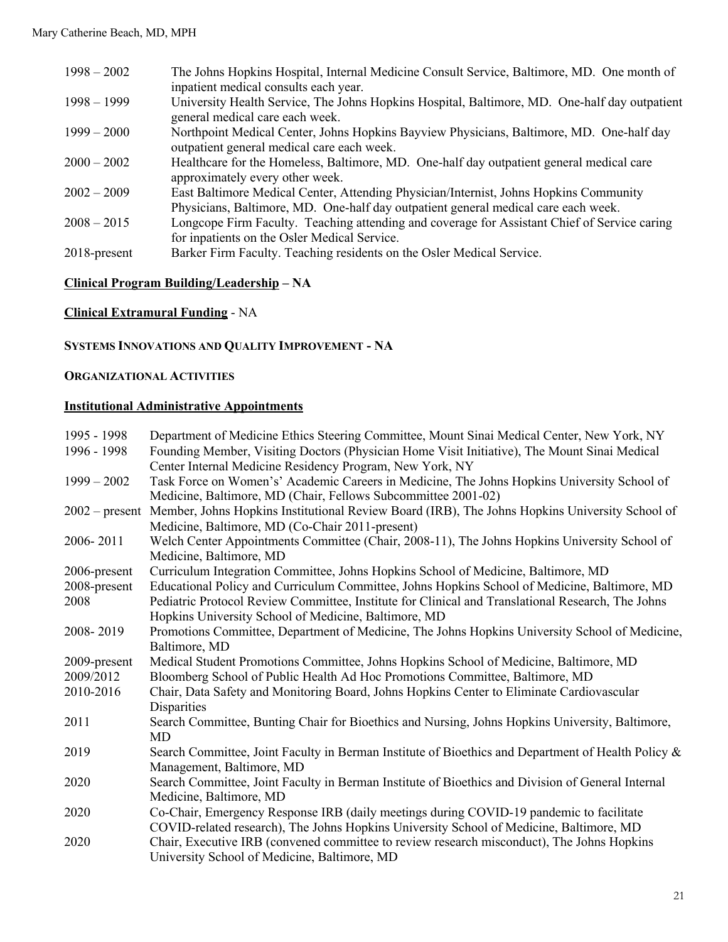| $1998 - 2002$   | The Johns Hopkins Hospital, Internal Medicine Consult Service, Baltimore, MD. One month of<br>inpatient medical consults each year.                                         |
|-----------------|-----------------------------------------------------------------------------------------------------------------------------------------------------------------------------|
| $1998 - 1999$   | University Health Service, The Johns Hopkins Hospital, Baltimore, MD. One-half day outpatient<br>general medical care each week.                                            |
| $1999 - 2000$   | Northpoint Medical Center, Johns Hopkins Bayview Physicians, Baltimore, MD. One-half day<br>outpatient general medical care each week.                                      |
| $2000 - 2002$   | Healthcare for the Homeless, Baltimore, MD. One-half day outpatient general medical care<br>approximately every other week.                                                 |
| $2002 - 2009$   | East Baltimore Medical Center, Attending Physician/Internist, Johns Hopkins Community<br>Physicians, Baltimore, MD. One-half day outpatient general medical care each week. |
| $2008 - 2015$   | Longcope Firm Faculty. Teaching attending and coverage for Assistant Chief of Service caring<br>for inpatients on the Osler Medical Service.                                |
| $2018$ -present | Barker Firm Faculty. Teaching residents on the Osler Medical Service.                                                                                                       |

#### **Clinical Program Building/Leadership – NA**

**Clinical Extramural Funding** - NA

## **SYSTEMS INNOVATIONS AND QUALITY IMPROVEMENT - NA**

### **ORGANIZATIONAL ACTIVITIES**

### **Institutional Administrative Appointments**

| 1995 - 1998<br>1996 - 1998 | Department of Medicine Ethics Steering Committee, Mount Sinai Medical Center, New York, NY<br>Founding Member, Visiting Doctors (Physician Home Visit Initiative), The Mount Sinai Medical<br>Center Internal Medicine Residency Program, New York, NY |
|----------------------------|--------------------------------------------------------------------------------------------------------------------------------------------------------------------------------------------------------------------------------------------------------|
| $1999 - 2002$              | Task Force on Women's' Academic Careers in Medicine, The Johns Hopkins University School of<br>Medicine, Baltimore, MD (Chair, Fellows Subcommittee 2001-02)                                                                                           |
| $2002$ – present           | Member, Johns Hopkins Institutional Review Board (IRB), The Johns Hopkins University School of                                                                                                                                                         |
|                            | Medicine, Baltimore, MD (Co-Chair 2011-present)                                                                                                                                                                                                        |
| 2006-2011                  | Welch Center Appointments Committee (Chair, 2008-11), The Johns Hopkins University School of                                                                                                                                                           |
|                            | Medicine, Baltimore, MD                                                                                                                                                                                                                                |
| 2006-present               | Curriculum Integration Committee, Johns Hopkins School of Medicine, Baltimore, MD                                                                                                                                                                      |
| 2008-present               | Educational Policy and Curriculum Committee, Johns Hopkins School of Medicine, Baltimore, MD                                                                                                                                                           |
| 2008                       | Pediatric Protocol Review Committee, Institute for Clinical and Translational Research, The Johns                                                                                                                                                      |
|                            | Hopkins University School of Medicine, Baltimore, MD                                                                                                                                                                                                   |
| 2008-2019                  | Promotions Committee, Department of Medicine, The Johns Hopkins University School of Medicine,                                                                                                                                                         |
|                            | Baltimore, MD                                                                                                                                                                                                                                          |
| 2009-present               | Medical Student Promotions Committee, Johns Hopkins School of Medicine, Baltimore, MD                                                                                                                                                                  |
| 2009/2012                  | Bloomberg School of Public Health Ad Hoc Promotions Committee, Baltimore, MD                                                                                                                                                                           |
| 2010-2016                  | Chair, Data Safety and Monitoring Board, Johns Hopkins Center to Eliminate Cardiovascular<br>Disparities                                                                                                                                               |
| 2011                       | Search Committee, Bunting Chair for Bioethics and Nursing, Johns Hopkins University, Baltimore,                                                                                                                                                        |
|                            | MD                                                                                                                                                                                                                                                     |
| 2019                       | Search Committee, Joint Faculty in Berman Institute of Bioethics and Department of Health Policy &                                                                                                                                                     |
|                            | Management, Baltimore, MD                                                                                                                                                                                                                              |
| 2020                       | Search Committee, Joint Faculty in Berman Institute of Bioethics and Division of General Internal                                                                                                                                                      |
|                            | Medicine, Baltimore, MD                                                                                                                                                                                                                                |
| 2020                       | Co-Chair, Emergency Response IRB (daily meetings during COVID-19 pandemic to facilitate                                                                                                                                                                |
|                            | COVID-related research), The Johns Hopkins University School of Medicine, Baltimore, MD                                                                                                                                                                |
| 2020                       | Chair, Executive IRB (convened committee to review research misconduct), The Johns Hopkins                                                                                                                                                             |
|                            | University School of Medicine, Baltimore, MD                                                                                                                                                                                                           |
|                            |                                                                                                                                                                                                                                                        |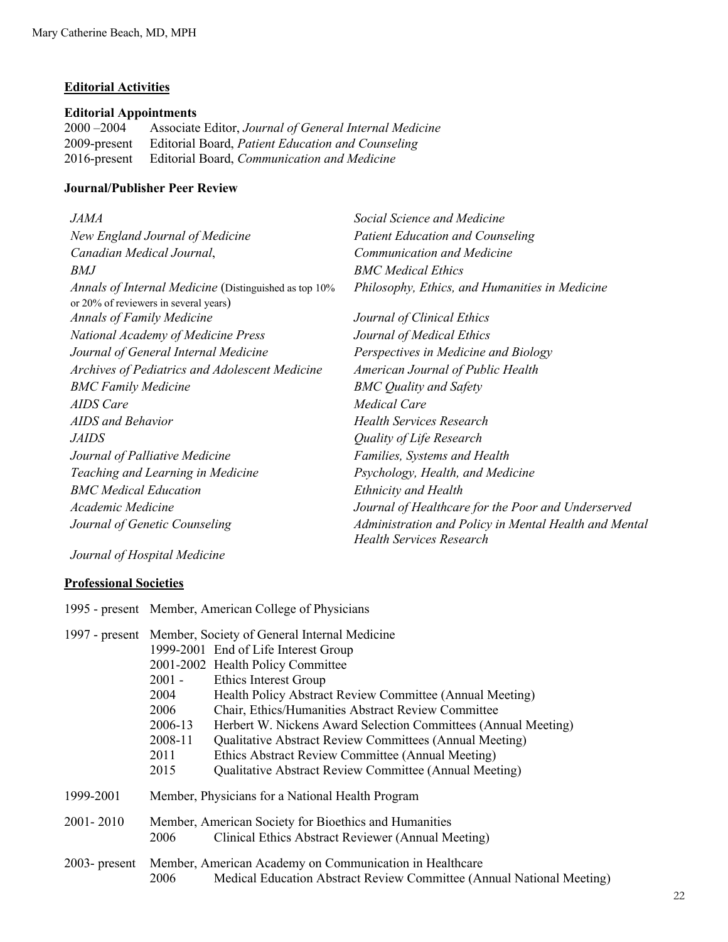## **Editorial Activities**

## **Editorial Appointments**

2000 –2004 Associate Editor, *Journal of General Internal Medicine* 2009-present Editorial Board, *Patient Education and Counseling* 2016-present Editorial Board, *Communication and Medicine*

#### **Journal/Publisher Peer Review**

| <i>JAMA</i>                                           | Social Science and Medicine                           |
|-------------------------------------------------------|-------------------------------------------------------|
| New England Journal of Medicine                       | <b>Patient Education and Counseling</b>               |
| Canadian Medical Journal,                             | Communication and Medicine                            |
| BMJ                                                   | <b>BMC</b> Medical Ethics                             |
| Annals of Internal Medicine (Distinguished as top 10% | Philosophy, Ethics, and Humanities in Medicine        |
| or 20% of reviewers in several years)                 |                                                       |
| <b>Annals of Family Medicine</b>                      | Journal of Clinical Ethics                            |
| National Academy of Medicine Press                    | Journal of Medical Ethics                             |
| Journal of General Internal Medicine                  | Perspectives in Medicine and Biology                  |
| Archives of Pediatrics and Adolescent Medicine        | American Journal of Public Health                     |
| <b>BMC Family Medicine</b>                            | <b>BMC</b> Quality and Safety                         |
| AIDS Care                                             | Medical Care                                          |
| AIDS and Behavior                                     | <b>Health Services Research</b>                       |
| <i>JAIDS</i>                                          | Quality of Life Research                              |
| Journal of Palliative Medicine                        | Families, Systems and Health                          |
| Teaching and Learning in Medicine                     | Psychology, Health, and Medicine                      |
| <b>BMC</b> Medical Education                          | <b>Ethnicity and Health</b>                           |
| Academic Medicine                                     | Journal of Healthcare for the Poor and Underserved    |
| Journal of Genetic Counseling                         | Administration and Policy in Mental Health and Mental |
|                                                       | <b>Health Services Research</b>                       |

*Journal of Hospital Medicine*

## **Professional Societies**

1995 - present Member, American College of Physicians

|                  | 1997 - present Member, Society of General Internal Medicine |                                                                       |  |
|------------------|-------------------------------------------------------------|-----------------------------------------------------------------------|--|
|                  |                                                             | 1999-2001 End of Life Interest Group                                  |  |
|                  |                                                             | 2001-2002 Health Policy Committee                                     |  |
|                  | $2001 -$                                                    | Ethics Interest Group                                                 |  |
|                  | 2004                                                        | Health Policy Abstract Review Committee (Annual Meeting)              |  |
|                  | 2006                                                        | Chair, Ethics/Humanities Abstract Review Committee                    |  |
|                  | 2006-13                                                     | Herbert W. Nickens Award Selection Committees (Annual Meeting)        |  |
|                  | 2008-11                                                     | <b>Qualitative Abstract Review Committees (Annual Meeting)</b>        |  |
|                  | 2011                                                        | Ethics Abstract Review Committee (Annual Meeting)                     |  |
|                  | 2015                                                        | <b>Qualitative Abstract Review Committee (Annual Meeting)</b>         |  |
| 1999-2001        | Member, Physicians for a National Health Program            |                                                                       |  |
| 2001-2010        | Member, American Society for Bioethics and Humanities       |                                                                       |  |
|                  | 2006                                                        | Clinical Ethics Abstract Reviewer (Annual Meeting)                    |  |
| $2003$ - present |                                                             | Member, American Academy on Communication in Healthcare               |  |
|                  | 2006                                                        | Medical Education Abstract Review Committee (Annual National Meeting) |  |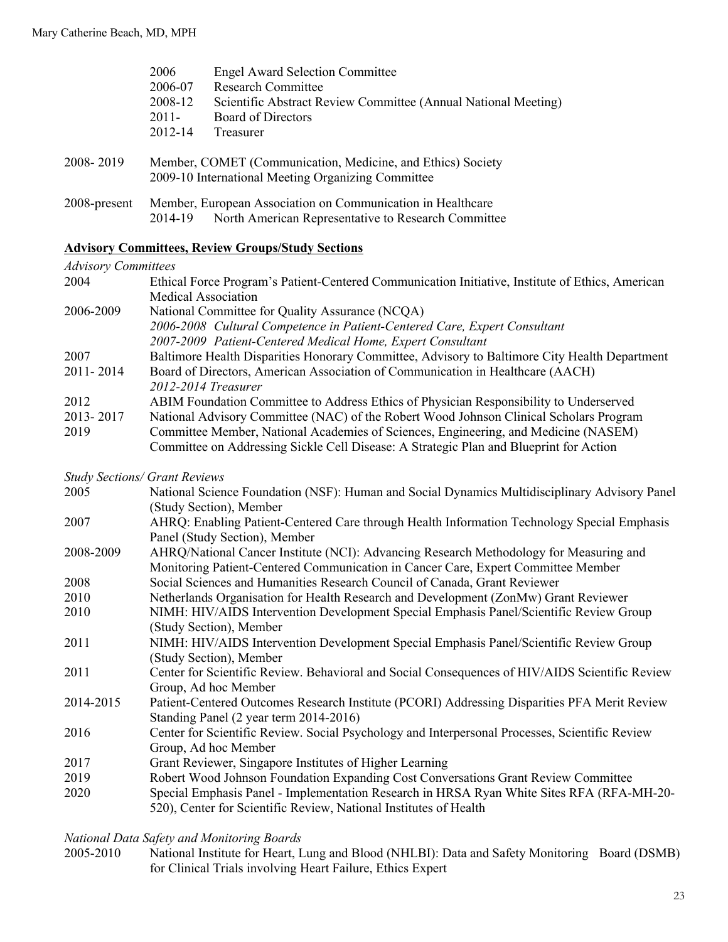|                                                    | 2006                                                        | <b>Engel Award Selection Committee</b>                         |  |
|----------------------------------------------------|-------------------------------------------------------------|----------------------------------------------------------------|--|
|                                                    | 2006-07                                                     | <b>Research Committee</b>                                      |  |
|                                                    | 2008-12                                                     | Scientific Abstract Review Committee (Annual National Meeting) |  |
|                                                    | $2011 -$                                                    | Board of Directors                                             |  |
|                                                    | 2012-14                                                     | Treasurer                                                      |  |
|                                                    |                                                             |                                                                |  |
| 2008-2019                                          | Member, COMET (Communication, Medicine, and Ethics) Society |                                                                |  |
| 2009-10 International Meeting Organizing Committee |                                                             |                                                                |  |
|                                                    |                                                             |                                                                |  |
| 2008-present                                       | Member, European Association on Communication in Healthcare |                                                                |  |
|                                                    | 2014-19                                                     | North American Representative to Research Committee            |  |

#### **Advisory Committees, Review Groups/Study Sections**

## *Advisory Committees*

| 2004      | Ethical Force Program's Patient-Centered Communication Initiative, Institute of Ethics, American |
|-----------|--------------------------------------------------------------------------------------------------|
|           | Medical Association                                                                              |
| 2006-2009 | National Committee for Quality Assurance (NCQA)                                                  |
|           | 2006-2008 Cultural Competence in Patient-Centered Care, Expert Consultant                        |
|           | 2007-2009 Patient-Centered Medical Home, Expert Consultant                                       |
| 2007      | Baltimore Health Disparities Honorary Committee, Advisory to Baltimore City Health Department    |
| 2011-2014 | Board of Directors, American Association of Communication in Healthcare (AACH)                   |
|           | 2012-2014 Treasurer                                                                              |
| 2012      | ABIM Foundation Committee to Address Ethics of Physician Responsibility to Underserved           |
| 2013-2017 | National Advisory Committee (NAC) of the Robert Wood Johnson Clinical Scholars Program           |
| 2019      | Committee Member, National Academies of Sciences, Engineering, and Medicine (NASEM)              |
|           | Committee on Addressing Sickle Cell Disease: A Strategic Plan and Blueprint for Action           |

## *Study Sections/ Grant Reviews*

|           | <b>Study Sections/ Grant Reviews</b>                                                           |
|-----------|------------------------------------------------------------------------------------------------|
| 2005      | National Science Foundation (NSF): Human and Social Dynamics Multidisciplinary Advisory Panel  |
|           | (Study Section), Member                                                                        |
| 2007      | AHRQ: Enabling Patient-Centered Care through Health Information Technology Special Emphasis    |
|           | Panel (Study Section), Member                                                                  |
| 2008-2009 | AHRQ/National Cancer Institute (NCI): Advancing Research Methodology for Measuring and         |
|           | Monitoring Patient-Centered Communication in Cancer Care, Expert Committee Member              |
| 2008      | Social Sciences and Humanities Research Council of Canada, Grant Reviewer                      |
| 2010      | Netherlands Organisation for Health Research and Development (ZonMw) Grant Reviewer            |
| 2010      | NIMH: HIV/AIDS Intervention Development Special Emphasis Panel/Scientific Review Group         |
|           | (Study Section), Member                                                                        |
| 2011      | NIMH: HIV/AIDS Intervention Development Special Emphasis Panel/Scientific Review Group         |
|           | (Study Section), Member                                                                        |
| 2011      | Center for Scientific Review. Behavioral and Social Consequences of HIV/AIDS Scientific Review |
|           | Group, Ad hoc Member                                                                           |
| 2014-2015 | Patient-Centered Outcomes Research Institute (PCORI) Addressing Disparities PFA Merit Review   |
|           | Standing Panel (2 year term 2014-2016)                                                         |
| 2016      | Center for Scientific Review. Social Psychology and Interpersonal Processes, Scientific Review |
|           | Group, Ad hoc Member                                                                           |
| 2017      | Grant Reviewer, Singapore Institutes of Higher Learning                                        |
| 2019      | Robert Wood Johnson Foundation Expanding Cost Conversations Grant Review Committee             |
| 2020      | Special Emphasis Panel - Implementation Research in HRSA Ryan White Sites RFA (RFA-MH-20-      |

520), Center for Scientific Review, National Institutes of Health

*National Data Safety and Monitoring Boards*

National Institute for Heart, Lung and Blood (NHLBI): Data and Safety Monitoring Board (DSMB) for Clinical Trials involving Heart Failure, Ethics Expert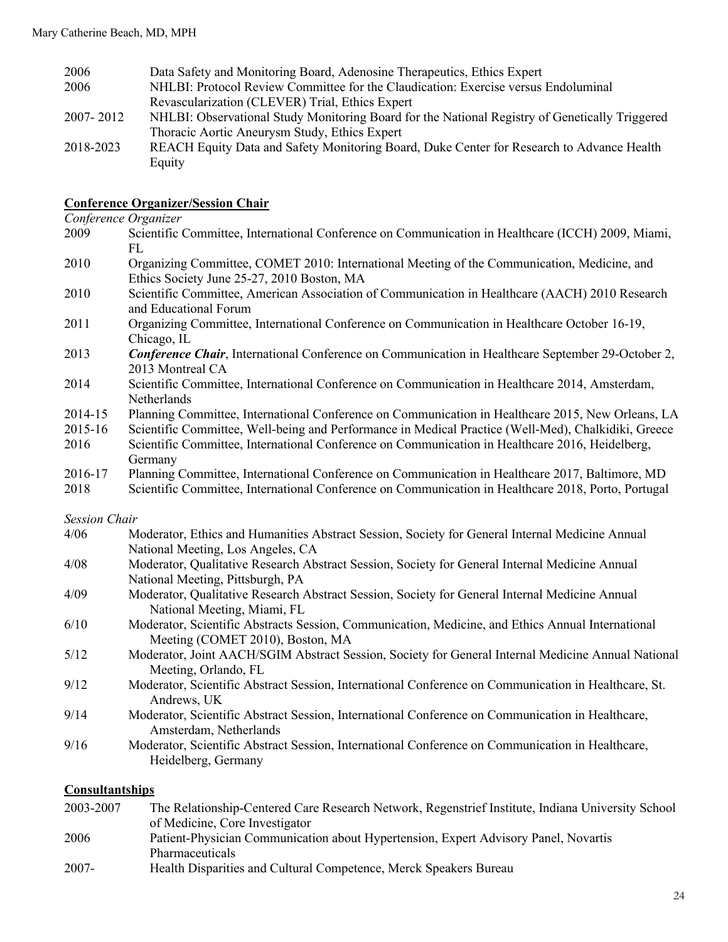| 2006      | Data Safety and Monitoring Board, Adenosine Therapeutics, Ethics Expert                        |
|-----------|------------------------------------------------------------------------------------------------|
| 2006      | NHLBI: Protocol Review Committee for the Claudication: Exercise versus Endoluminal             |
|           | Revascularization (CLEVER) Trial, Ethics Expert                                                |
| 2007-2012 | NHLBI: Observational Study Monitoring Board for the National Registry of Genetically Triggered |
|           | Thoracic Aortic Aneurysm Study, Ethics Expert                                                  |
| 2018-2023 | REACH Equity Data and Safety Monitoring Board, Duke Center for Research to Advance Health      |
|           | Equity                                                                                         |

#### **Conference Organizer/Session Chair**

#### *Conference Organizer*

- 2009 Scientific Committee, International Conference on Communication in Healthcare (ICCH) 2009, Miami, FL
- 2010 Organizing Committee, COMET 2010: International Meeting of the Communication, Medicine, and Ethics Society June 25-27, 2010 Boston, MA
- 2010 Scientific Committee, American Association of Communication in Healthcare (AACH) 2010 Research and Educational Forum
- 2011 Organizing Committee, International Conference on Communication in Healthcare October 16-19, Chicago, IL
- 2013 *Conference Chair*, International Conference on Communication in Healthcare September 29-October 2, 2013 Montreal CA
- 2014 Scientific Committee, International Conference on Communication in Healthcare 2014, Amsterdam, Netherlands
- 2014-15 Planning Committee, International Conference on Communication in Healthcare 2015, New Orleans, LA
- 2015-16 Scientific Committee, Well-being and Performance in Medical Practice (Well-Med), Chalkidiki, Greece 2016 Scientific Committee, International Conference on Communication in Healthcare 2016, Heidelberg,
- Germany
- 2016-17 Planning Committee, International Conference on Communication in Healthcare 2017, Baltimore, MD
- 2018 Scientific Committee, International Conference on Communication in Healthcare 2018, Porto, Portugal

#### *Session Chair*

- 4/06 Moderator, Ethics and Humanities Abstract Session, Society for General Internal Medicine Annual National Meeting, Los Angeles, CA
- 4/08 Moderator, Qualitative Research Abstract Session, Society for General Internal Medicine Annual National Meeting, Pittsburgh, PA
- 4/09 Moderator, Qualitative Research Abstract Session, Society for General Internal Medicine Annual National Meeting, Miami, FL
- 6/10 Moderator, Scientific Abstracts Session, Communication, Medicine, and Ethics Annual International Meeting (COMET 2010), Boston, MA
- 5/12 Moderator, Joint AACH/SGIM Abstract Session, Society for General Internal Medicine Annual National Meeting, Orlando, FL
- 9/12 Moderator, Scientific Abstract Session, International Conference on Communication in Healthcare, St. Andrews, UK
- 9/14 Moderator, Scientific Abstract Session, International Conference on Communication in Healthcare, Amsterdam, Netherlands
- 9/16 Moderator, Scientific Abstract Session, International Conference on Communication in Healthcare, Heidelberg, Germany

#### **Consultantships**

2003-2007 The Relationship-Centered Care Research Network, Regenstrief Institute, Indiana University School of Medicine, Core Investigator 2006 Patient-Physician Communication about Hypertension, Expert Advisory Panel, Novartis Pharmaceuticals 2007- Health Disparities and Cultural Competence, Merck Speakers Bureau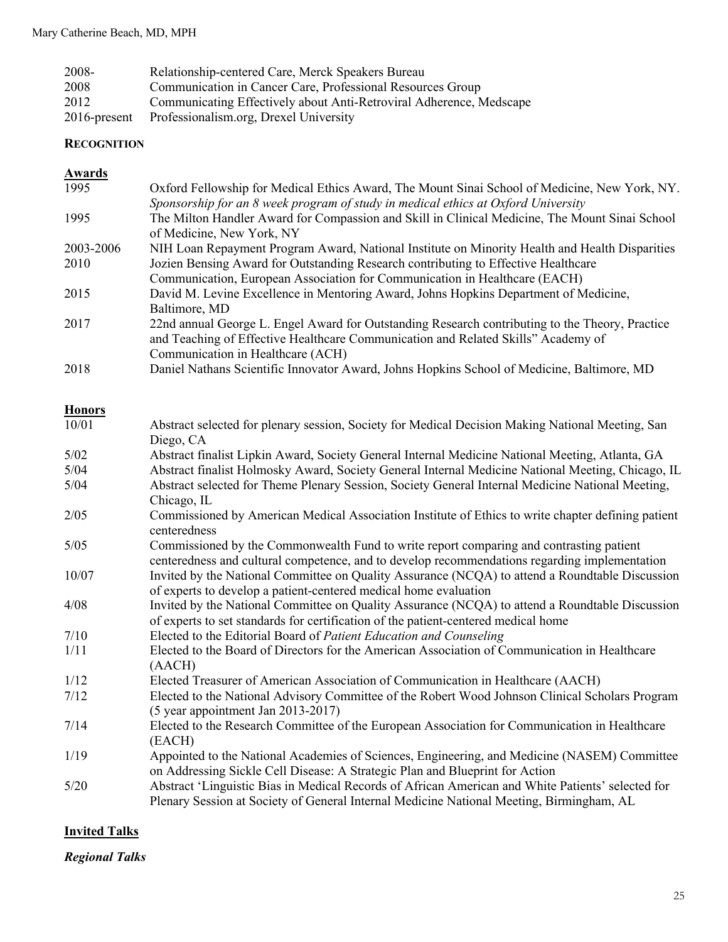| 2008-           | Relationship-centered Care, Merck Speakers Bureau                   |
|-----------------|---------------------------------------------------------------------|
| 2008            | Communication in Cancer Care, Professional Resources Group          |
| 2012            | Communicating Effectively about Anti-Retroviral Adherence, Medscape |
| $2016$ -present | Professionalism.org, Drexel University                              |

#### **RECOGNITION**

#### **Awards**

| 1995      | Oxford Fellowship for Medical Ethics Award, The Mount Sinai School of Medicine, New York, NY.   |
|-----------|-------------------------------------------------------------------------------------------------|
|           | Sponsorship for an 8 week program of study in medical ethics at Oxford University               |
| 1995      | The Milton Handler Award for Compassion and Skill in Clinical Medicine, The Mount Sinai School  |
|           | of Medicine, New York, NY                                                                       |
| 2003-2006 | NIH Loan Repayment Program Award, National Institute on Minority Health and Health Disparities  |
| 2010      | Jozien Bensing Award for Outstanding Research contributing to Effective Healthcare              |
|           | Communication, European Association for Communication in Healthcare (EACH)                      |
| 2015      | David M. Levine Excellence in Mentoring Award, Johns Hopkins Department of Medicine,            |
|           | Baltimore, MD                                                                                   |
| 2017      | 22nd annual George L. Engel Award for Outstanding Research contributing to the Theory, Practice |
|           | and Teaching of Effective Healthcare Communication and Related Skills" Academy of               |
|           | Communication in Healthcare (ACH)                                                               |
| 2018      | Daniel Nathans Scientific Innovator Award, Johns Hopkins School of Medicine, Baltimore, MD      |

## **Honors**

| 10/01 | Abstract selected for plenary session, Society for Medical Decision Making National Meeting, San                                                                                      |
|-------|---------------------------------------------------------------------------------------------------------------------------------------------------------------------------------------|
|       | Diego, CA                                                                                                                                                                             |
| 5/02  | Abstract finalist Lipkin Award, Society General Internal Medicine National Meeting, Atlanta, GA                                                                                       |
| 5/04  | Abstract finalist Holmosky Award, Society General Internal Medicine National Meeting, Chicago, IL                                                                                     |
| 5/04  | Abstract selected for Theme Plenary Session, Society General Internal Medicine National Meeting,                                                                                      |
|       | Chicago, IL                                                                                                                                                                           |
| 2/05  | Commissioned by American Medical Association Institute of Ethics to write chapter defining patient<br>centeredness                                                                    |
| 5/05  | Commissioned by the Commonwealth Fund to write report comparing and contrasting patient                                                                                               |
|       | centeredness and cultural competence, and to develop recommendations regarding implementation                                                                                         |
| 10/07 | Invited by the National Committee on Quality Assurance (NCQA) to attend a Roundtable Discussion                                                                                       |
|       | of experts to develop a patient-centered medical home evaluation                                                                                                                      |
| 4/08  | Invited by the National Committee on Quality Assurance (NCQA) to attend a Roundtable Discussion<br>of experts to set standards for certification of the patient-centered medical home |
|       |                                                                                                                                                                                       |
| 7/10  | Elected to the Editorial Board of Patient Education and Counseling                                                                                                                    |
| 1/11  | Elected to the Board of Directors for the American Association of Communication in Healthcare<br>(AACH)                                                                               |
| 1/12  | Elected Treasurer of American Association of Communication in Healthcare (AACH)                                                                                                       |
| 7/12  | Elected to the National Advisory Committee of the Robert Wood Johnson Clinical Scholars Program<br>(5 year appointment Jan 2013-2017)                                                 |
| 7/14  | Elected to the Research Committee of the European Association for Communication in Healthcare                                                                                         |
|       | (EACH)                                                                                                                                                                                |
| 1/19  | Appointed to the National Academies of Sciences, Engineering, and Medicine (NASEM) Committee                                                                                          |
|       | on Addressing Sickle Cell Disease: A Strategic Plan and Blueprint for Action                                                                                                          |
| 5/20  | Abstract 'Linguistic Bias in Medical Records of African American and White Patients' selected for                                                                                     |
|       | Plenary Session at Society of General Internal Medicine National Meeting, Birmingham, AL                                                                                              |

## **Invited Talks**

*Regional Talks*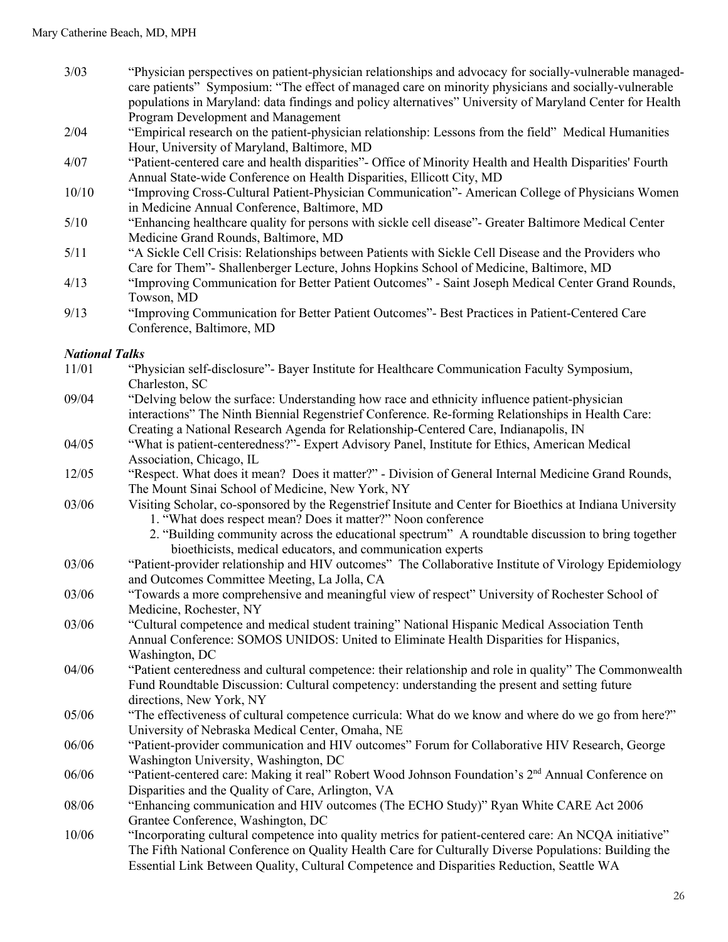- 3/03 "Physician perspectives on patient-physician relationships and advocacy for socially-vulnerable managedcare patients" Symposium: "The effect of managed care on minority physicians and socially-vulnerable populations in Maryland: data findings and policy alternatives" University of Maryland Center for Health Program Development and Management
- 2/04 "Empirical research on the patient-physician relationship: Lessons from the field" Medical Humanities Hour, University of Maryland, Baltimore, MD
- 4/07 "Patient-centered care and health disparities"- Office of Minority Health and Health Disparities' Fourth Annual State-wide Conference on Health Disparities, Ellicott City, MD
- 10/10 "Improving Cross-Cultural Patient-Physician Communication"- American College of Physicians Women in Medicine Annual Conference, Baltimore, MD
- 5/10 "Enhancing healthcare quality for persons with sickle cell disease"- Greater Baltimore Medical Center Medicine Grand Rounds, Baltimore, MD
- 5/11 "A Sickle Cell Crisis: Relationships between Patients with Sickle Cell Disease and the Providers who Care for Them"- Shallenberger Lecture, Johns Hopkins School of Medicine, Baltimore, MD
- 4/13 "Improving Communication for Better Patient Outcomes" Saint Joseph Medical Center Grand Rounds, Towson, MD
- 9/13 "Improving Communication for Better Patient Outcomes"- Best Practices in Patient-Centered Care Conference, Baltimore, MD

# *National Talks*

| 11/01 | "Physician self-disclosure" Bayer Institute for Healthcare Communication Faculty Symposium,                                                             |
|-------|---------------------------------------------------------------------------------------------------------------------------------------------------------|
|       | Charleston, SC                                                                                                                                          |
| 09/04 | "Delving below the surface: Understanding how race and ethnicity influence patient-physician                                                            |
|       | interactions" The Ninth Biennial Regenstrief Conference. Re-forming Relationships in Health Care:                                                       |
|       | Creating a National Research Agenda for Relationship-Centered Care, Indianapolis, IN                                                                    |
| 04/05 | "What is patient-centeredness?"- Expert Advisory Panel, Institute for Ethics, American Medical                                                          |
|       | Association, Chicago, IL                                                                                                                                |
| 12/05 | "Respect. What does it mean? Does it matter?" - Division of General Internal Medicine Grand Rounds,                                                     |
|       | The Mount Sinai School of Medicine, New York, NY                                                                                                        |
| 03/06 | Visiting Scholar, co-sponsored by the Regenstrief Insitute and Center for Bioethics at Indiana University                                               |
|       | 1. "What does respect mean? Does it matter?" Noon conference                                                                                            |
|       | 2. "Building community across the educational spectrum" A roundtable discussion to bring together                                                       |
|       | bioethicists, medical educators, and communication experts                                                                                              |
| 03/06 | "Patient-provider relationship and HIV outcomes" The Collaborative Institute of Virology Epidemiology                                                   |
|       | and Outcomes Committee Meeting, La Jolla, CA                                                                                                            |
| 03/06 | "Towards a more comprehensive and meaningful view of respect" University of Rochester School of                                                         |
|       | Medicine, Rochester, NY                                                                                                                                 |
| 03/06 | "Cultural competence and medical student training" National Hispanic Medical Association Tenth                                                          |
|       | Annual Conference: SOMOS UNIDOS: United to Eliminate Health Disparities for Hispanics,                                                                  |
|       | Washington, DC                                                                                                                                          |
| 04/06 | "Patient centeredness and cultural competence: their relationship and role in quality" The Commonwealth                                                 |
|       | Fund Roundtable Discussion: Cultural competency: understanding the present and setting future                                                           |
|       | directions, New York, NY                                                                                                                                |
| 05/06 | "The effectiveness of cultural competence curricula: What do we know and where do we go from here?"<br>University of Nebraska Medical Center, Omaha, NE |
| 06/06 | "Patient-provider communication and HIV outcomes" Forum for Collaborative HIV Research, George                                                          |
|       | Washington University, Washington, DC                                                                                                                   |
| 06/06 | "Patient-centered care: Making it real" Robert Wood Johnson Foundation's 2 <sup>nd</sup> Annual Conference on                                           |
|       | Disparities and the Quality of Care, Arlington, VA                                                                                                      |
| 08/06 | "Enhancing communication and HIV outcomes (The ECHO Study)" Ryan White CARE Act 2006                                                                    |
|       | Grantee Conference, Washington, DC                                                                                                                      |
| 10/06 | "Incorporating cultural competence into quality metrics for patient-centered care: An NCQA initiative"                                                  |
|       | The Fifth National Conference on Quality Health Care for Culturally Diverse Populations: Building the                                                   |
|       | Essential Link Between Quality, Cultural Competence and Disparities Reduction, Seattle WA                                                               |
|       |                                                                                                                                                         |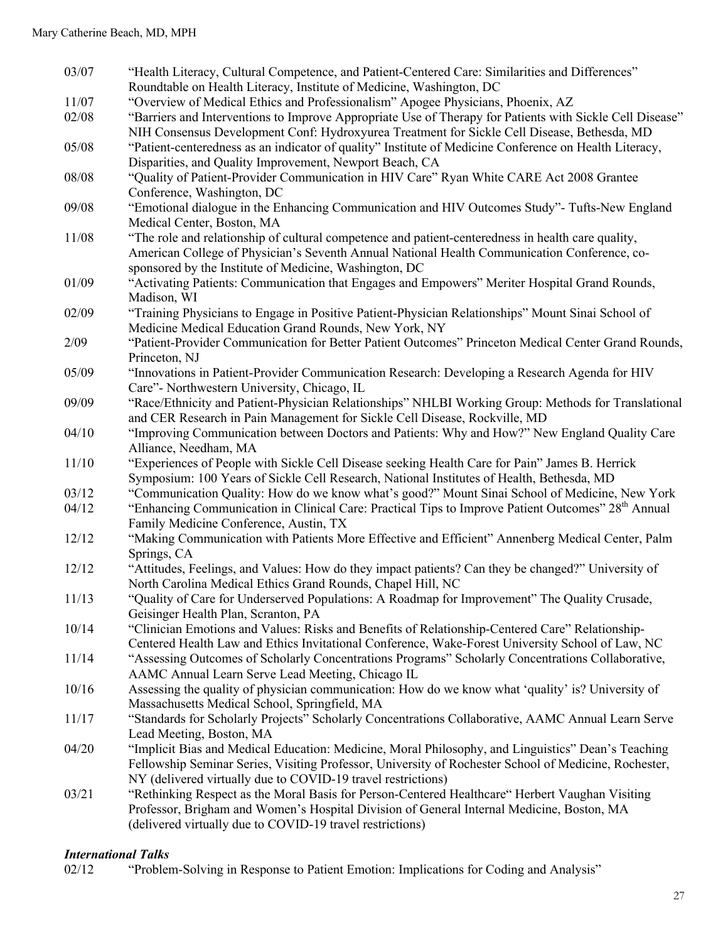| 03/07 |                                                                                                                |
|-------|----------------------------------------------------------------------------------------------------------------|
|       | "Health Literacy, Cultural Competence, and Patient-Centered Care: Similarities and Differences"                |
|       | Roundtable on Health Literacy, Institute of Medicine, Washington, DC                                           |
| 11/07 | "Overview of Medical Ethics and Professionalism" Apogee Physicians, Phoenix, AZ                                |
| 02/08 | "Barriers and Interventions to Improve Appropriate Use of Therapy for Patients with Sickle Cell Disease"       |
|       | NIH Consensus Development Conf: Hydroxyurea Treatment for Sickle Cell Disease, Bethesda, MD                    |
| 05/08 | "Patient-centeredness as an indicator of quality" Institute of Medicine Conference on Health Literacy,         |
|       | Disparities, and Quality Improvement, Newport Beach, CA                                                        |
| 08/08 | "Quality of Patient-Provider Communication in HIV Care" Ryan White CARE Act 2008 Grantee                       |
|       | Conference, Washington, DC                                                                                     |
| 09/08 | "Emotional dialogue in the Enhancing Communication and HIV Outcomes Study"- Tufts-New England                  |
|       | Medical Center, Boston, MA                                                                                     |
| 11/08 | "The role and relationship of cultural competence and patient-centeredness in health care quality,             |
|       | American College of Physician's Seventh Annual National Health Communication Conference, co-                   |
|       | sponsored by the Institute of Medicine, Washington, DC                                                         |
| 01/09 | "Activating Patients: Communication that Engages and Empowers" Meriter Hospital Grand Rounds,                  |
|       | Madison, WI                                                                                                    |
| 02/09 | "Training Physicians to Engage in Positive Patient-Physician Relationships" Mount Sinai School of              |
|       | Medicine Medical Education Grand Rounds, New York, NY                                                          |
| 2/09  | "Patient-Provider Communication for Better Patient Outcomes" Princeton Medical Center Grand Rounds,            |
|       | Princeton, NJ                                                                                                  |
| 05/09 | "Innovations in Patient-Provider Communication Research: Developing a Research Agenda for HIV                  |
|       | Care"- Northwestern University, Chicago, IL                                                                    |
| 09/09 | "Race/Ethnicity and Patient-Physician Relationships" NHLBI Working Group: Methods for Translational            |
|       | and CER Research in Pain Management for Sickle Cell Disease, Rockville, MD                                     |
| 04/10 | "Improving Communication between Doctors and Patients: Why and How?" New England Quality Care                  |
|       | Alliance, Needham, MA                                                                                          |
| 11/10 | "Experiences of People with Sickle Cell Disease seeking Health Care for Pain" James B. Herrick                 |
|       | Symposium: 100 Years of Sickle Cell Research, National Institutes of Health, Bethesda, MD                      |
| 03/12 | "Communication Quality: How do we know what's good?" Mount Sinai School of Medicine, New York                  |
| 04/12 | "Enhancing Communication in Clinical Care: Practical Tips to Improve Patient Outcomes" 28 <sup>th</sup> Annual |
|       | Family Medicine Conference, Austin, TX                                                                         |
|       |                                                                                                                |
| 12/12 | "Making Communication with Patients More Effective and Efficient" Annenberg Medical Center, Palm               |
|       | Springs, CA                                                                                                    |
| 12/12 | "Attitudes, Feelings, and Values: How do they impact patients? Can they be changed?" University of             |
|       | North Carolina Medical Ethics Grand Rounds, Chapel Hill, NC                                                    |
| 11/13 | "Quality of Care for Underserved Populations: A Roadmap for Improvement" The Quality Crusade,                  |
|       | Geisinger Health Plan, Scranton, PA                                                                            |
| 10/14 | "Clinician Emotions and Values: Risks and Benefits of Relationship-Centered Care" Relationship-                |
|       | Centered Health Law and Ethics Invitational Conference, Wake-Forest University School of Law, NC               |
| 11/14 | "Assessing Outcomes of Scholarly Concentrations Programs" Scholarly Concentrations Collaborative,              |
|       | AAMC Annual Learn Serve Lead Meeting, Chicago IL                                                               |
| 10/16 | Assessing the quality of physician communication: How do we know what 'quality' is? University of              |
|       | Massachusetts Medical School, Springfield, MA                                                                  |
| 11/17 | "Standards for Scholarly Projects" Scholarly Concentrations Collaborative, AAMC Annual Learn Serve             |
|       | Lead Meeting, Boston, MA                                                                                       |
| 04/20 | "Implicit Bias and Medical Education: Medicine, Moral Philosophy, and Linguistics" Dean's Teaching             |
|       | Fellowship Seminar Series, Visiting Professor, University of Rochester School of Medicine, Rochester,          |
|       | NY (delivered virtually due to COVID-19 travel restrictions)                                                   |
| 03/21 | "Rethinking Respect as the Moral Basis for Person-Centered Healthcare" Herbert Vaughan Visiting                |
|       | Professor, Brigham and Women's Hospital Division of General Internal Medicine, Boston, MA                      |
|       | (delivered virtually due to COVID-19 travel restrictions)                                                      |

# *International Talks*

"Problem-Solving in Response to Patient Emotion: Implications for Coding and Analysis"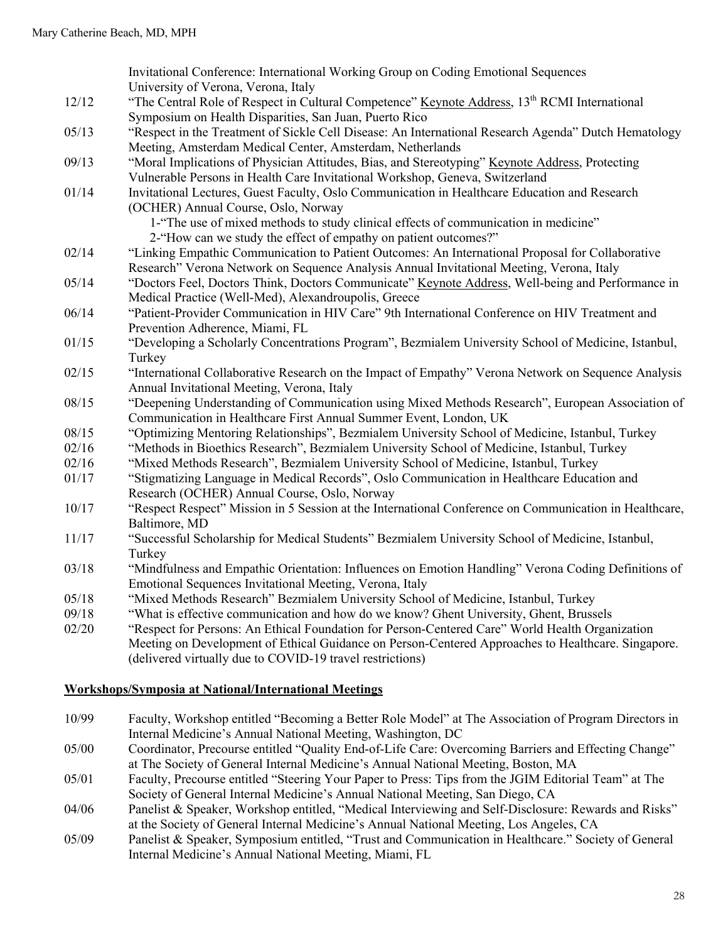|       | Invitational Conference: International Working Group on Coding Emotional Sequences                                |
|-------|-------------------------------------------------------------------------------------------------------------------|
|       | University of Verona, Verona, Italy                                                                               |
| 12/12 | "The Central Role of Respect in Cultural Competence" Keynote Address, 13 <sup>th</sup> RCMI International         |
|       | Symposium on Health Disparities, San Juan, Puerto Rico                                                            |
| 05/13 | "Respect in the Treatment of Sickle Cell Disease: An International Research Agenda" Dutch Hematology              |
|       | Meeting, Amsterdam Medical Center, Amsterdam, Netherlands                                                         |
| 09/13 | "Moral Implications of Physician Attitudes, Bias, and Stereotyping" Keynote Address, Protecting                   |
|       | Vulnerable Persons in Health Care Invitational Workshop, Geneva, Switzerland                                      |
| 01/14 | Invitational Lectures, Guest Faculty, Oslo Communication in Healthcare Education and Research                     |
|       | (OCHER) Annual Course, Oslo, Norway                                                                               |
|       | 1-"The use of mixed methods to study clinical effects of communication in medicine"                               |
|       | 2-"How can we study the effect of empathy on patient outcomes?"                                                   |
| 02/14 | "Linking Empathic Communication to Patient Outcomes: An International Proposal for Collaborative                  |
|       | Research" Verona Network on Sequence Analysis Annual Invitational Meeting, Verona, Italy                          |
| 05/14 | "Doctors Feel, Doctors Think, Doctors Communicate" Keynote Address, Well-being and Performance in                 |
|       | Medical Practice (Well-Med), Alexandroupolis, Greece                                                              |
| 06/14 | "Patient-Provider Communication in HIV Care" 9th International Conference on HIV Treatment and                    |
|       | Prevention Adherence, Miami, FL                                                                                   |
| 01/15 | "Developing a Scholarly Concentrations Program", Bezmialem University School of Medicine, Istanbul,               |
|       | Turkey                                                                                                            |
| 02/15 | "International Collaborative Research on the Impact of Empathy" Verona Network on Sequence Analysis               |
|       | Annual Invitational Meeting, Verona, Italy                                                                        |
| 08/15 | "Deepening Understanding of Communication using Mixed Methods Research", European Association of                  |
|       | Communication in Healthcare First Annual Summer Event, London, UK                                                 |
| 08/15 | "Optimizing Mentoring Relationships", Bezmialem University School of Medicine, Istanbul, Turkey                   |
| 02/16 | "Methods in Bioethics Research", Bezmialem University School of Medicine, Istanbul, Turkey                        |
| 02/16 | "Mixed Methods Research", Bezmialem University School of Medicine, Istanbul, Turkey                               |
| 01/17 | "Stigmatizing Language in Medical Records", Oslo Communication in Healthcare Education and                        |
|       | Research (OCHER) Annual Course, Oslo, Norway                                                                      |
| 10/17 | "Respect Respect" Mission in 5 Session at the International Conference on Communication in Healthcare,            |
| 11/17 | Baltimore, MD<br>"Successful Scholarship for Medical Students" Bezmialem University School of Medicine, Istanbul, |
|       | Turkey                                                                                                            |
| 03/18 | "Mindfulness and Empathic Orientation: Influences on Emotion Handling" Verona Coding Definitions of               |
|       | Emotional Sequences Invitational Meeting, Verona, Italy                                                           |
| 05/18 | "Mixed Methods Research" Bezmialem University School of Medicine, Istanbul, Turkey                                |
| 09/18 | "What is effective communication and how do we know? Ghent University, Ghent, Brussels                            |
| 02/20 | "Respect for Persons: An Ethical Foundation for Person-Centered Care" World Health Organization                   |
|       | Meeting on Development of Ethical Guidance on Person-Centered Approaches to Healthcare. Singapore.                |
|       | (delivered virtually due to COVID-19 travel restrictions)                                                         |

#### **Workshops/Symposia at National/International Meetings**

- 10/99 Faculty, Workshop entitled "Becoming a Better Role Model" at The Association of Program Directors in Internal Medicine's Annual National Meeting, Washington, DC
- 05/00 Coordinator, Precourse entitled "Quality End-of-Life Care: Overcoming Barriers and Effecting Change" at The Society of General Internal Medicine's Annual National Meeting, Boston, MA
- 05/01 Faculty, Precourse entitled "Steering Your Paper to Press: Tips from the JGIM Editorial Team" at The Society of General Internal Medicine's Annual National Meeting, San Diego, CA
- 04/06 Panelist & Speaker, Workshop entitled, "Medical Interviewing and Self-Disclosure: Rewards and Risks" at the Society of General Internal Medicine's Annual National Meeting, Los Angeles, CA
- 05/09 Panelist & Speaker, Symposium entitled, "Trust and Communication in Healthcare." Society of General Internal Medicine's Annual National Meeting, Miami, FL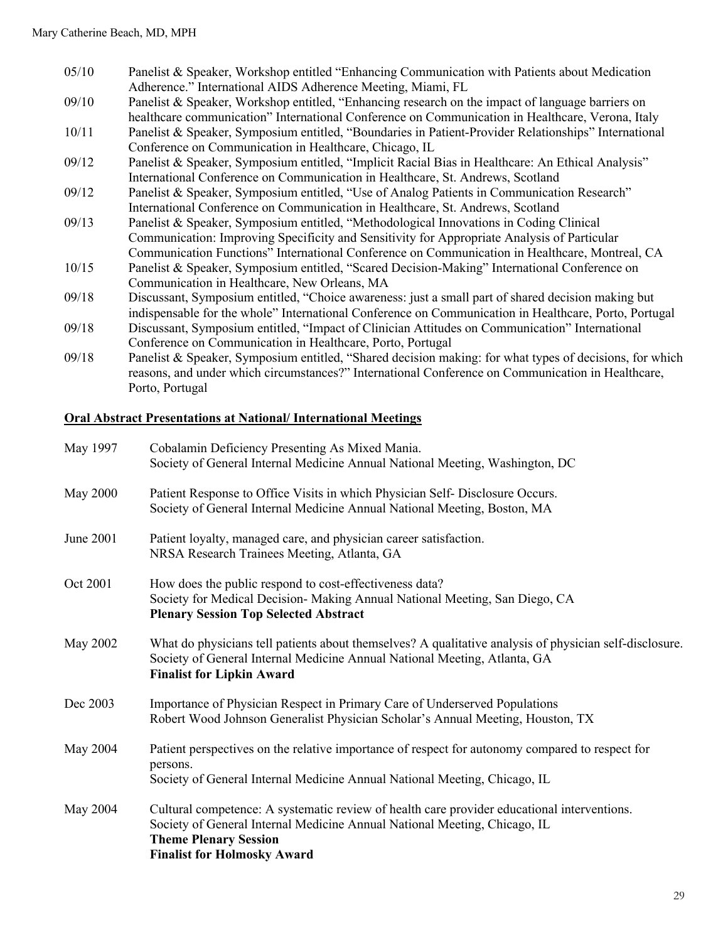- 05/10 Panelist & Speaker, Workshop entitled "Enhancing Communication with Patients about Medication Adherence." International AIDS Adherence Meeting, Miami, FL
- $09/10$  Panelist & Speaker, Workshop entitled, "Enhancing research on the impact of language barriers on healthcare communication" International Conference on Communication in Healthcare, Verona, Italy
- 10/11 Panelist & Speaker, Symposium entitled, "Boundaries in Patient-Provider Relationships" International Conference on Communication in Healthcare, Chicago, IL
- 09/12 Panelist & Speaker, Symposium entitled, "Implicit Racial Bias in Healthcare: An Ethical Analysis" International Conference on Communication in Healthcare, St. Andrews, Scotland
- 09/12 Panelist & Speaker, Symposium entitled, "Use of Analog Patients in Communication Research" International Conference on Communication in Healthcare, St. Andrews, Scotland
- 09/13 Panelist & Speaker, Symposium entitled, "Methodological Innovations in Coding Clinical Communication: Improving Specificity and Sensitivity for Appropriate Analysis of Particular
- Communication Functions" International Conference on Communication in Healthcare, Montreal, CA
- 10/15 Panelist & Speaker, Symposium entitled, "Scared Decision-Making" International Conference on Communication in Healthcare, New Orleans, MA
- 09/18 Discussant, Symposium entitled, "Choice awareness: just a small part of shared decision making but indispensable for the whole" International Conference on Communication in Healthcare, Porto, Portugal
- 09/18 Discussant, Symposium entitled, "Impact of Clinician Attitudes on Communication" International Conference on Communication in Healthcare, Porto, Portugal
- 09/18 Panelist & Speaker, Symposium entitled, "Shared decision making: for what types of decisions, for which reasons, and under which circumstances?" International Conference on Communication in Healthcare, Porto, Portugal

## **Oral Abstract Presentations at National/ International Meetings**

| May 1997        | Cobalamin Deficiency Presenting As Mixed Mania.<br>Society of General Internal Medicine Annual National Meeting, Washington, DC                                                                                                                |
|-----------------|------------------------------------------------------------------------------------------------------------------------------------------------------------------------------------------------------------------------------------------------|
| <b>May 2000</b> | Patient Response to Office Visits in which Physician Self- Disclosure Occurs.<br>Society of General Internal Medicine Annual National Meeting, Boston, MA                                                                                      |
| June 2001       | Patient loyalty, managed care, and physician career satisfaction.<br>NRSA Research Trainees Meeting, Atlanta, GA                                                                                                                               |
| Oct 2001        | How does the public respond to cost-effectiveness data?<br>Society for Medical Decision- Making Annual National Meeting, San Diego, CA<br><b>Plenary Session Top Selected Abstract</b>                                                         |
| May 2002        | What do physicians tell patients about themselves? A qualitative analysis of physician self-disclosure.<br>Society of General Internal Medicine Annual National Meeting, Atlanta, GA<br><b>Finalist for Lipkin Award</b>                       |
| Dec 2003        | Importance of Physician Respect in Primary Care of Underserved Populations<br>Robert Wood Johnson Generalist Physician Scholar's Annual Meeting, Houston, TX                                                                                   |
| May 2004        | Patient perspectives on the relative importance of respect for autonomy compared to respect for<br>persons.<br>Society of General Internal Medicine Annual National Meeting, Chicago, IL                                                       |
| May 2004        | Cultural competence: A systematic review of health care provider educational interventions.<br>Society of General Internal Medicine Annual National Meeting, Chicago, IL<br><b>Theme Plenary Session</b><br><b>Finalist for Holmosky Award</b> |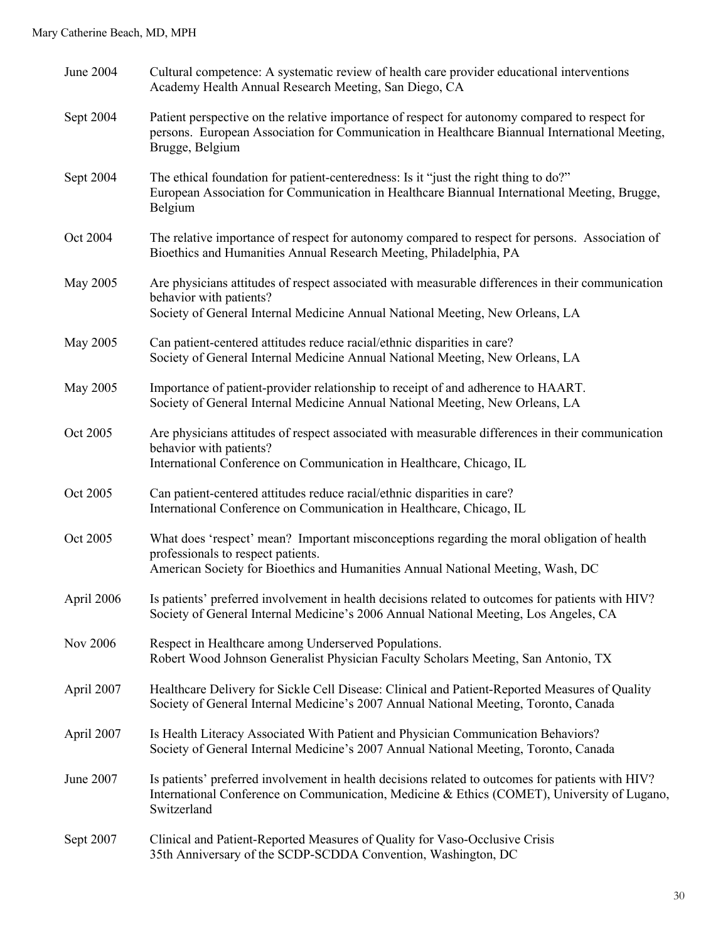| June 2004  | Cultural competence: A systematic review of health care provider educational interventions<br>Academy Health Annual Research Meeting, San Diego, CA                                                                  |
|------------|----------------------------------------------------------------------------------------------------------------------------------------------------------------------------------------------------------------------|
| Sept 2004  | Patient perspective on the relative importance of respect for autonomy compared to respect for<br>persons. European Association for Communication in Healthcare Biannual International Meeting,<br>Brugge, Belgium   |
| Sept 2004  | The ethical foundation for patient-centeredness: Is it "just the right thing to do?"<br>European Association for Communication in Healthcare Biannual International Meeting, Brugge,<br>Belgium                      |
| Oct 2004   | The relative importance of respect for autonomy compared to respect for persons. Association of<br>Bioethics and Humanities Annual Research Meeting, Philadelphia, PA                                                |
| May 2005   | Are physicians attitudes of respect associated with measurable differences in their communication<br>behavior with patients?<br>Society of General Internal Medicine Annual National Meeting, New Orleans, LA        |
| May 2005   | Can patient-centered attitudes reduce racial/ethnic disparities in care?<br>Society of General Internal Medicine Annual National Meeting, New Orleans, LA                                                            |
| May 2005   | Importance of patient-provider relationship to receipt of and adherence to HAART.<br>Society of General Internal Medicine Annual National Meeting, New Orleans, LA                                                   |
| Oct 2005   | Are physicians attitudes of respect associated with measurable differences in their communication<br>behavior with patients?<br>International Conference on Communication in Healthcare, Chicago, IL                 |
| Oct 2005   | Can patient-centered attitudes reduce racial/ethnic disparities in care?<br>International Conference on Communication in Healthcare, Chicago, IL                                                                     |
| Oct 2005   | What does 'respect' mean? Important misconceptions regarding the moral obligation of health<br>professionals to respect patients.<br>American Society for Bioethics and Humanities Annual National Meeting, Wash, DC |
| April 2006 | Is patients' preferred involvement in health decisions related to outcomes for patients with HIV?<br>Society of General Internal Medicine's 2006 Annual National Meeting, Los Angeles, CA                            |
| Nov 2006   | Respect in Healthcare among Underserved Populations.<br>Robert Wood Johnson Generalist Physician Faculty Scholars Meeting, San Antonio, TX                                                                           |
| April 2007 | Healthcare Delivery for Sickle Cell Disease: Clinical and Patient-Reported Measures of Quality<br>Society of General Internal Medicine's 2007 Annual National Meeting, Toronto, Canada                               |
| April 2007 | Is Health Literacy Associated With Patient and Physician Communication Behaviors?<br>Society of General Internal Medicine's 2007 Annual National Meeting, Toronto, Canada                                            |
| June 2007  | Is patients' preferred involvement in health decisions related to outcomes for patients with HIV?<br>International Conference on Communication, Medicine & Ethics (COMET), University of Lugano,<br>Switzerland      |
| Sept 2007  | Clinical and Patient-Reported Measures of Quality for Vaso-Occlusive Crisis<br>35th Anniversary of the SCDP-SCDDA Convention, Washington, DC                                                                         |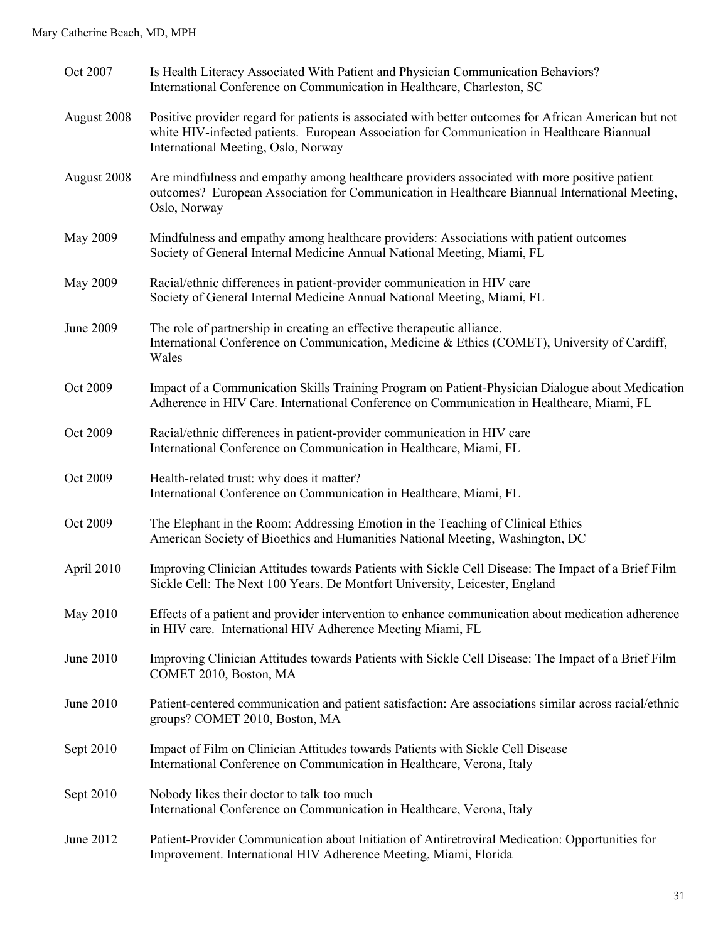#### Mary Catherine Beach, MD, MPH

| Oct 2007    | Is Health Literacy Associated With Patient and Physician Communication Behaviors?<br>International Conference on Communication in Healthcare, Charleston, SC                                                                               |
|-------------|--------------------------------------------------------------------------------------------------------------------------------------------------------------------------------------------------------------------------------------------|
| August 2008 | Positive provider regard for patients is associated with better outcomes for African American but not<br>white HIV-infected patients. European Association for Communication in Healthcare Biannual<br>International Meeting, Oslo, Norway |
| August 2008 | Are mindfulness and empathy among healthcare providers associated with more positive patient<br>outcomes? European Association for Communication in Healthcare Biannual International Meeting,<br>Oslo, Norway                             |
| May 2009    | Mindfulness and empathy among healthcare providers: Associations with patient outcomes<br>Society of General Internal Medicine Annual National Meeting, Miami, FL                                                                          |
| May 2009    | Racial/ethnic differences in patient-provider communication in HIV care<br>Society of General Internal Medicine Annual National Meeting, Miami, FL                                                                                         |
| June 2009   | The role of partnership in creating an effective therapeutic alliance.<br>International Conference on Communication, Medicine & Ethics (COMET), University of Cardiff,<br>Wales                                                            |
| Oct 2009    | Impact of a Communication Skills Training Program on Patient-Physician Dialogue about Medication<br>Adherence in HIV Care. International Conference on Communication in Healthcare, Miami, FL                                              |
| Oct 2009    | Racial/ethnic differences in patient-provider communication in HIV care<br>International Conference on Communication in Healthcare, Miami, FL                                                                                              |
| Oct 2009    | Health-related trust: why does it matter?<br>International Conference on Communication in Healthcare, Miami, FL                                                                                                                            |
| Oct 2009    | The Elephant in the Room: Addressing Emotion in the Teaching of Clinical Ethics<br>American Society of Bioethics and Humanities National Meeting, Washington, DC                                                                           |
| April 2010  | Improving Clinician Attitudes towards Patients with Sickle Cell Disease: The Impact of a Brief Film<br>Sickle Cell: The Next 100 Years. De Montfort University, Leicester, England                                                         |
| May 2010    | Effects of a patient and provider intervention to enhance communication about medication adherence<br>in HIV care. International HIV Adherence Meeting Miami, FL                                                                           |
| June 2010   | Improving Clinician Attitudes towards Patients with Sickle Cell Disease: The Impact of a Brief Film<br>COMET 2010, Boston, MA                                                                                                              |
| June 2010   | Patient-centered communication and patient satisfaction: Are associations similar across racial/ethnic<br>groups? COMET 2010, Boston, MA                                                                                                   |
| Sept 2010   | Impact of Film on Clinician Attitudes towards Patients with Sickle Cell Disease<br>International Conference on Communication in Healthcare, Verona, Italy                                                                                  |
| Sept 2010   | Nobody likes their doctor to talk too much<br>International Conference on Communication in Healthcare, Verona, Italy                                                                                                                       |
| June 2012   | Patient-Provider Communication about Initiation of Antiretroviral Medication: Opportunities for<br>Improvement. International HIV Adherence Meeting, Miami, Florida                                                                        |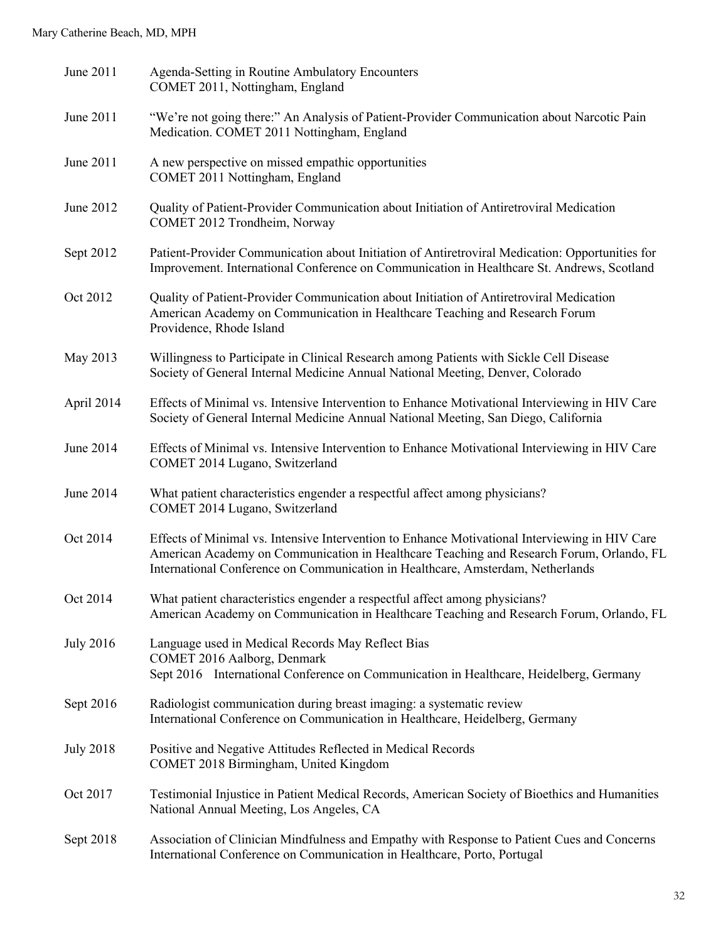| June 2011        | Agenda-Setting in Routine Ambulatory Encounters<br>COMET 2011, Nottingham, England                                                                                                                                                                                            |
|------------------|-------------------------------------------------------------------------------------------------------------------------------------------------------------------------------------------------------------------------------------------------------------------------------|
| June 2011        | "We're not going there:" An Analysis of Patient-Provider Communication about Narcotic Pain<br>Medication. COMET 2011 Nottingham, England                                                                                                                                      |
| June 2011        | A new perspective on missed empathic opportunities<br>COMET 2011 Nottingham, England                                                                                                                                                                                          |
| June 2012        | Quality of Patient-Provider Communication about Initiation of Antiretroviral Medication<br>COMET 2012 Trondheim, Norway                                                                                                                                                       |
| Sept 2012        | Patient-Provider Communication about Initiation of Antiretroviral Medication: Opportunities for<br>Improvement. International Conference on Communication in Healthcare St. Andrews, Scotland                                                                                 |
| Oct 2012         | Quality of Patient-Provider Communication about Initiation of Antiretroviral Medication<br>American Academy on Communication in Healthcare Teaching and Research Forum<br>Providence, Rhode Island                                                                            |
| May 2013         | Willingness to Participate in Clinical Research among Patients with Sickle Cell Disease<br>Society of General Internal Medicine Annual National Meeting, Denver, Colorado                                                                                                     |
| April 2014       | Effects of Minimal vs. Intensive Intervention to Enhance Motivational Interviewing in HIV Care<br>Society of General Internal Medicine Annual National Meeting, San Diego, California                                                                                         |
| June 2014        | Effects of Minimal vs. Intensive Intervention to Enhance Motivational Interviewing in HIV Care<br>COMET 2014 Lugano, Switzerland                                                                                                                                              |
| June 2014        | What patient characteristics engender a respectful affect among physicians?<br>COMET 2014 Lugano, Switzerland                                                                                                                                                                 |
| Oct 2014         | Effects of Minimal vs. Intensive Intervention to Enhance Motivational Interviewing in HIV Care<br>American Academy on Communication in Healthcare Teaching and Research Forum, Orlando, FL<br>International Conference on Communication in Healthcare, Amsterdam, Netherlands |
| Oct 2014         | What patient characteristics engender a respectful affect among physicians?<br>American Academy on Communication in Healthcare Teaching and Research Forum, Orlando, FL                                                                                                       |
| <b>July 2016</b> | Language used in Medical Records May Reflect Bias<br>COMET 2016 Aalborg, Denmark<br>Sept 2016 International Conference on Communication in Healthcare, Heidelberg, Germany                                                                                                    |
| Sept 2016        | Radiologist communication during breast imaging: a systematic review<br>International Conference on Communication in Healthcare, Heidelberg, Germany                                                                                                                          |
| <b>July 2018</b> | Positive and Negative Attitudes Reflected in Medical Records<br>COMET 2018 Birmingham, United Kingdom                                                                                                                                                                         |
| Oct 2017         | Testimonial Injustice in Patient Medical Records, American Society of Bioethics and Humanities<br>National Annual Meeting, Los Angeles, CA                                                                                                                                    |
| Sept 2018        | Association of Clinician Mindfulness and Empathy with Response to Patient Cues and Concerns<br>International Conference on Communication in Healthcare, Porto, Portugal                                                                                                       |